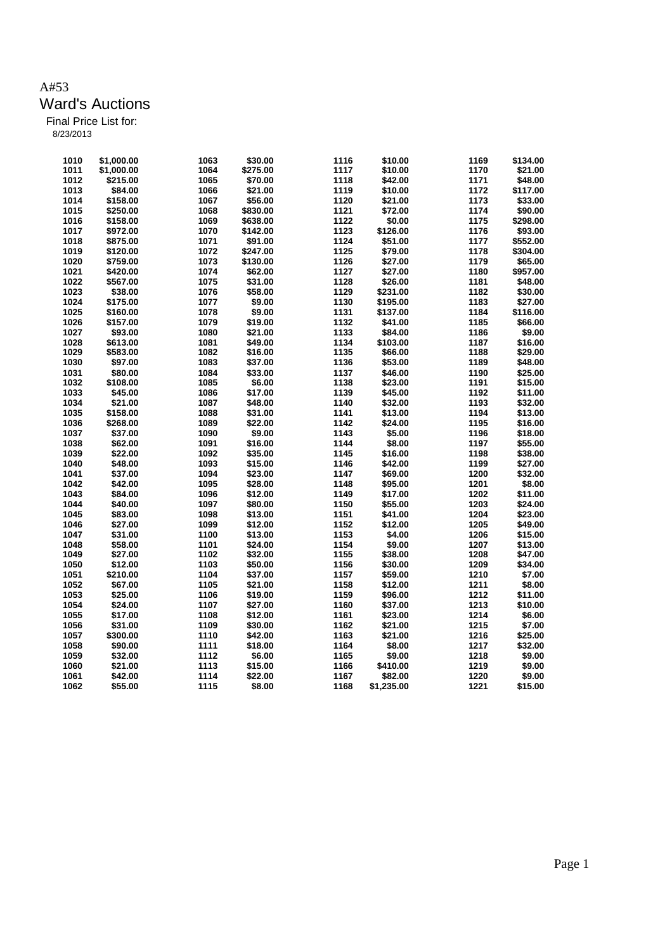| 1010 | \$1,000.00 | 1063 | \$30.00  | 1116 | \$10.00    | 1169 | \$134.00 |
|------|------------|------|----------|------|------------|------|----------|
| 1011 | \$1,000.00 | 1064 | \$275.00 | 1117 | \$10.00    | 1170 | \$21.00  |
| 1012 | \$215.00   | 1065 | \$70.00  | 1118 | \$42.00    | 1171 | \$48.00  |
| 1013 | \$84.00    | 1066 | \$21.00  | 1119 | \$10.00    | 1172 | \$117.00 |
| 1014 | \$158.00   | 1067 | \$56.00  | 1120 | \$21.00    | 1173 | \$33.00  |
| 1015 | \$250.00   | 1068 | \$830.00 | 1121 | \$72.00    | 1174 | \$90.00  |
| 1016 | \$158.00   | 1069 | \$638.00 | 1122 | \$0.00     | 1175 | \$298.00 |
| 1017 |            | 1070 |          | 1123 | \$126.00   | 1176 | \$93.00  |
|      | \$972.00   | 1071 | \$142.00 | 1124 |            | 1177 | \$552.00 |
| 1018 | \$875.00   |      | \$91.00  |      | \$51.00    |      |          |
| 1019 | \$120.00   | 1072 | \$247.00 | 1125 | \$79.00    | 1178 | \$304.00 |
| 1020 | \$759.00   | 1073 | \$130.00 | 1126 | \$27.00    | 1179 | \$65.00  |
| 1021 | \$420.00   | 1074 | \$62.00  | 1127 | \$27.00    | 1180 | \$957.00 |
| 1022 | \$567.00   | 1075 | \$31.00  | 1128 | \$26.00    | 1181 | \$48.00  |
| 1023 | \$38.00    | 1076 | \$58.00  | 1129 | \$231.00   | 1182 | \$30.00  |
| 1024 | \$175.00   | 1077 | \$9.00   | 1130 | \$195.00   | 1183 | \$27.00  |
| 1025 | \$160.00   | 1078 | \$9.00   | 1131 | \$137.00   | 1184 | \$116.00 |
| 1026 | \$157.00   | 1079 | \$19.00  | 1132 | \$41.00    | 1185 | \$66.00  |
| 1027 | \$93.00    | 1080 | \$21.00  | 1133 | \$84.00    | 1186 | \$9.00   |
| 1028 | \$613.00   | 1081 | \$49.00  | 1134 | \$103.00   | 1187 | \$16.00  |
| 1029 | \$583.00   | 1082 | \$16.00  | 1135 | \$66.00    | 1188 | \$29.00  |
| 1030 | \$97.00    | 1083 | \$37.00  | 1136 | \$53.00    | 1189 | \$48.00  |
| 1031 | \$80.00    | 1084 | \$33.00  | 1137 | \$46.00    | 1190 | \$25.00  |
| 1032 | \$108.00   | 1085 | \$6.00   | 1138 | \$23.00    | 1191 | \$15.00  |
| 1033 | \$45.00    | 1086 | \$17.00  | 1139 | \$45.00    | 1192 | \$11.00  |
| 1034 | \$21.00    | 1087 | \$48.00  | 1140 | \$32.00    | 1193 | \$32.00  |
| 1035 | \$158.00   | 1088 | \$31.00  | 1141 | \$13.00    | 1194 | \$13.00  |
| 1036 | \$268.00   | 1089 | \$22.00  | 1142 | \$24.00    | 1195 | \$16.00  |
| 1037 | \$37.00    | 1090 | \$9.00   | 1143 | \$5.00     | 1196 | \$18.00  |
| 1038 | \$62.00    | 1091 | \$16.00  | 1144 | \$8.00     | 1197 | \$55.00  |
| 1039 | \$22.00    | 1092 | \$35.00  | 1145 | \$16.00    | 1198 | \$38.00  |
| 1040 | \$48.00    | 1093 | \$15.00  | 1146 | \$42.00    | 1199 | \$27.00  |
| 1041 | \$37.00    | 1094 | \$23.00  | 1147 | \$69.00    | 1200 | \$32.00  |
| 1042 | \$42.00    | 1095 | \$28.00  | 1148 | \$95.00    | 1201 | \$8.00   |
|      | \$84.00    | 1096 | \$12.00  | 1149 | \$17.00    | 1202 | \$11.00  |
| 1043 |            |      |          |      |            |      |          |
| 1044 | \$40.00    | 1097 | \$80.00  | 1150 | \$55.00    | 1203 | \$24.00  |
| 1045 | \$83.00    | 1098 | \$13.00  | 1151 | \$41.00    | 1204 | \$23.00  |
| 1046 | \$27.00    | 1099 | \$12.00  | 1152 | \$12.00    | 1205 | \$49.00  |
| 1047 | \$31.00    | 1100 | \$13.00  | 1153 | \$4.00     | 1206 | \$15.00  |
| 1048 | \$58.00    | 1101 | \$24.00  | 1154 | \$9.00     | 1207 | \$13.00  |
| 1049 | \$27.00    | 1102 | \$32.00  | 1155 | \$38.00    | 1208 | \$47.00  |
| 1050 | \$12.00    | 1103 | \$50.00  | 1156 | \$30.00    | 1209 | \$34.00  |
| 1051 | \$210.00   | 1104 | \$37.00  | 1157 | \$59.00    | 1210 | \$7.00   |
| 1052 | \$67.00    | 1105 | \$21.00  | 1158 | \$12.00    | 1211 | \$8.00   |
| 1053 | \$25.00    | 1106 | \$19.00  | 1159 | \$96.00    | 1212 | \$11.00  |
| 1054 | \$24.00    | 1107 | \$27.00  | 1160 | \$37.00    | 1213 | \$10.00  |
| 1055 | \$17.00    | 1108 | \$12.00  | 1161 | \$23.00    | 1214 | \$6.00   |
| 1056 | \$31.00    | 1109 | \$30.00  | 1162 | \$21.00    | 1215 | \$7.00   |
| 1057 | \$300.00   | 1110 | \$42.00  | 1163 | \$21.00    | 1216 | \$25.00  |
| 1058 | \$90.00    | 1111 | \$18.00  | 1164 | \$8.00     | 1217 | \$32.00  |
| 1059 | \$32.00    | 1112 | \$6.00   | 1165 | \$9.00     | 1218 | \$9.00   |
| 1060 | \$21.00    | 1113 | \$15.00  | 1166 | \$410.00   | 1219 | \$9.00   |
| 1061 | \$42.00    | 1114 | \$22.00  | 1167 | \$82.00    | 1220 | \$9.00   |
| 1062 | \$55.00    | 1115 | \$8.00   | 1168 | \$1,235.00 | 1221 | \$15.00  |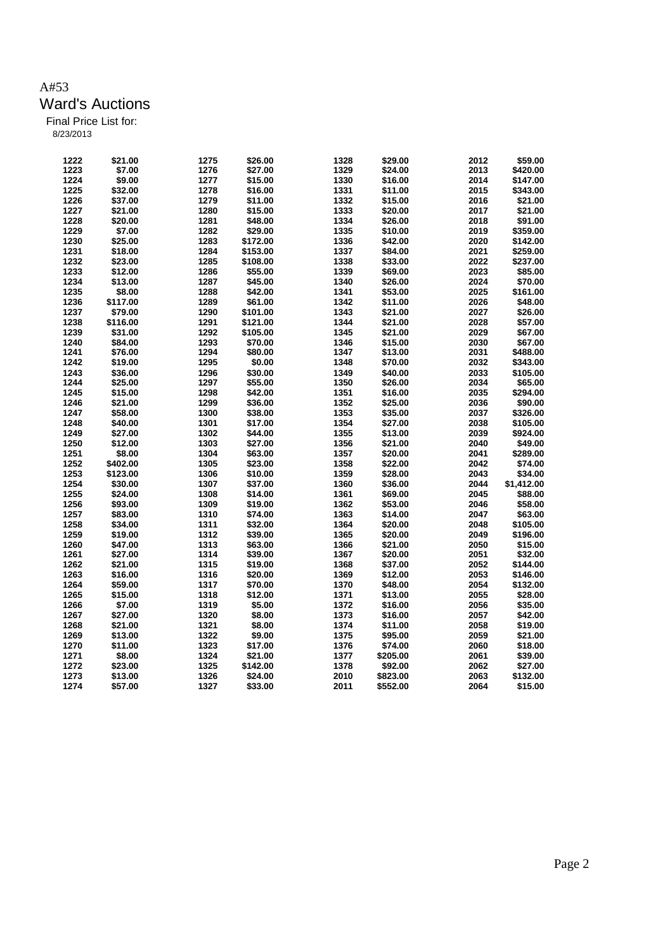| 1222 | \$21.00  | 1275 | \$26.00  | 1328 | \$29.00  | 2012 | \$59.00    |
|------|----------|------|----------|------|----------|------|------------|
| 1223 | \$7.00   | 1276 | \$27.00  | 1329 | \$24.00  | 2013 | \$420.00   |
| 1224 | \$9.00   | 1277 | \$15.00  | 1330 | \$16.00  | 2014 | \$147.00   |
| 1225 | \$32.00  | 1278 | \$16.00  | 1331 | \$11.00  | 2015 | \$343.00   |
| 1226 |          | 1279 |          | 1332 | \$15.00  | 2016 | \$21.00    |
|      | \$37.00  |      | \$11.00  |      |          |      |            |
| 1227 | \$21.00  | 1280 | \$15.00  | 1333 | \$20.00  | 2017 | \$21.00    |
| 1228 | \$20.00  | 1281 | \$48.00  | 1334 | \$26.00  | 2018 | \$91.00    |
| 1229 | \$7.00   | 1282 | \$29.00  | 1335 | \$10.00  | 2019 | \$359.00   |
| 1230 | \$25.00  | 1283 | \$172.00 | 1336 | \$42.00  | 2020 | \$142.00   |
| 1231 | \$18.00  | 1284 | \$153.00 | 1337 | \$84.00  | 2021 | \$259.00   |
| 1232 | \$23.00  | 1285 | \$108.00 | 1338 | \$33.00  | 2022 | \$237.00   |
| 1233 | \$12.00  | 1286 | \$55.00  | 1339 | \$69.00  | 2023 | \$85.00    |
| 1234 | \$13.00  | 1287 | \$45.00  | 1340 | \$26.00  | 2024 | \$70.00    |
| 1235 | \$8.00   | 1288 | \$42.00  | 1341 | \$53.00  | 2025 | \$161.00   |
| 1236 | \$117.00 | 1289 | \$61.00  | 1342 | \$11.00  | 2026 | \$48.00    |
| 1237 | \$79.00  | 1290 | \$101.00 | 1343 | \$21.00  | 2027 | \$26.00    |
| 1238 | \$116.00 | 1291 | \$121.00 | 1344 | \$21.00  | 2028 | \$57.00    |
| 1239 | \$31.00  | 1292 | \$105.00 | 1345 | \$21.00  | 2029 | \$67.00    |
| 1240 | \$84.00  | 1293 | \$70.00  | 1346 | \$15.00  | 2030 | \$67.00    |
| 1241 | \$76.00  | 1294 | \$80.00  | 1347 | \$13.00  | 2031 | \$488.00   |
| 1242 | \$19.00  | 1295 | \$0.00   | 1348 | \$70.00  | 2032 | \$343.00   |
| 1243 | \$36.00  | 1296 | \$30.00  | 1349 | \$40.00  | 2033 | \$105.00   |
| 1244 | \$25.00  | 1297 | \$55.00  | 1350 | \$26.00  | 2034 | \$65.00    |
| 1245 | \$15.00  | 1298 | \$42.00  | 1351 | \$16.00  | 2035 | \$294.00   |
| 1246 | \$21.00  | 1299 | \$36.00  | 1352 | \$25.00  | 2036 | \$90.00    |
| 1247 | \$58.00  | 1300 | \$38.00  | 1353 | \$35.00  | 2037 | \$326.00   |
| 1248 | \$40.00  | 1301 | \$17.00  | 1354 | \$27.00  | 2038 | \$105.00   |
| 1249 | \$27.00  | 1302 | \$44.00  | 1355 | \$13.00  | 2039 | \$924.00   |
| 1250 | \$12.00  | 1303 | \$27.00  | 1356 | \$21.00  | 2040 | \$49.00    |
|      |          |      |          |      |          |      |            |
| 1251 | \$8.00   | 1304 | \$63.00  | 1357 | \$20.00  | 2041 | \$289.00   |
| 1252 | \$402.00 | 1305 | \$23.00  | 1358 | \$22.00  | 2042 | \$74.00    |
| 1253 | \$123.00 | 1306 | \$10.00  | 1359 | \$28.00  | 2043 | \$34.00    |
| 1254 | \$30.00  | 1307 | \$37.00  | 1360 | \$36.00  | 2044 | \$1,412.00 |
| 1255 | \$24.00  | 1308 | \$14.00  | 1361 | \$69.00  | 2045 | \$88.00    |
| 1256 | \$93.00  | 1309 | \$19.00  | 1362 | \$53.00  | 2046 | \$58.00    |
| 1257 | \$83.00  | 1310 | \$74.00  | 1363 | \$14.00  | 2047 | \$63.00    |
| 1258 | \$34.00  | 1311 | \$32.00  | 1364 | \$20.00  | 2048 | \$105.00   |
| 1259 | \$19.00  | 1312 | \$39.00  | 1365 | \$20.00  | 2049 | \$196.00   |
| 1260 | \$47.00  | 1313 | \$63.00  | 1366 | \$21.00  | 2050 | \$15.00    |
| 1261 | \$27.00  | 1314 | \$39.00  | 1367 | \$20.00  | 2051 | \$32.00    |
| 1262 | \$21.00  | 1315 | \$19.00  | 1368 | \$37.00  | 2052 | \$144.00   |
| 1263 | \$16.00  | 1316 | \$20.00  | 1369 | \$12.00  | 2053 | \$146.00   |
| 1264 | \$59.00  | 1317 | \$70.00  | 1370 | \$48.00  | 2054 | \$132.00   |
| 1265 | \$15.00  | 1318 | \$12.00  | 1371 | \$13.00  | 2055 | \$28.00    |
| 1266 | \$7.00   | 1319 | \$5.00   | 1372 | \$16.00  | 2056 | \$35.00    |
| 1267 | \$27.00  | 1320 | \$8.00   | 1373 | \$16.00  | 2057 | \$42.00    |
| 1268 | \$21.00  | 1321 | \$8.00   | 1374 | \$11.00  | 2058 | \$19.00    |
| 1269 | \$13.00  | 1322 | \$9.00   | 1375 | \$95.00  | 2059 | \$21.00    |
| 1270 | \$11.00  | 1323 | \$17.00  | 1376 | \$74.00  | 2060 | \$18.00    |
| 1271 | \$8.00   | 1324 | \$21.00  | 1377 | \$205.00 | 2061 | \$39.00    |
| 1272 | \$23.00  | 1325 | \$142.00 | 1378 | \$92.00  | 2062 | \$27.00    |
| 1273 | \$13.00  | 1326 | \$24.00  | 2010 | \$823.00 | 2063 | \$132.00   |
| 1274 | \$57.00  | 1327 | \$33.00  | 2011 | \$552.00 | 2064 | \$15.00    |
|      |          |      |          |      |          |      |            |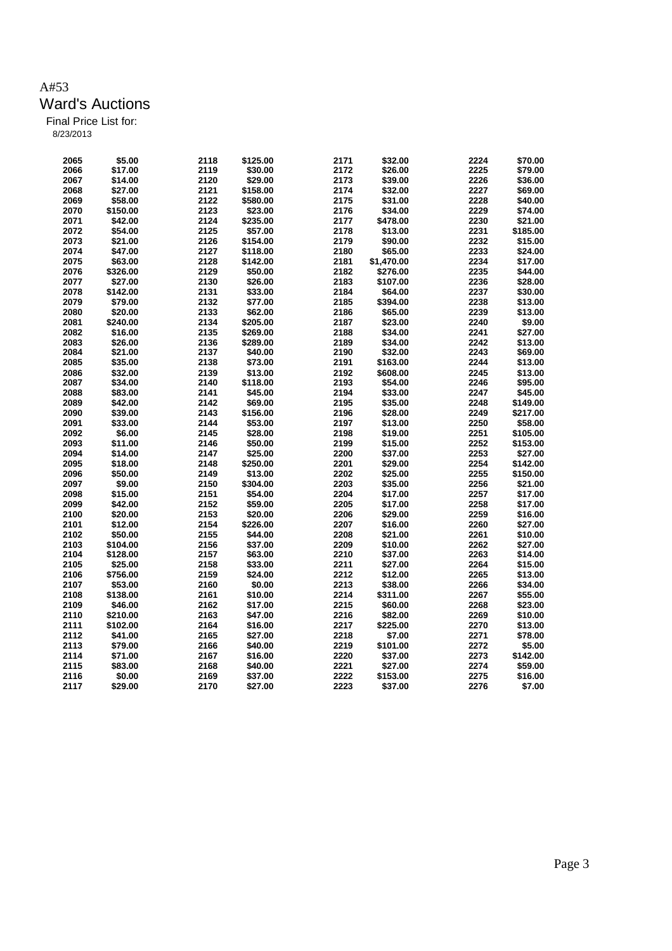| 2065 | \$5.00   | 2118 | \$125.00 | 2171 | \$32.00    | 2224 | \$70.00  |
|------|----------|------|----------|------|------------|------|----------|
|      |          |      |          |      |            |      |          |
| 2066 | \$17.00  | 2119 | \$30.00  | 2172 | \$26.00    | 2225 | \$79.00  |
| 2067 | \$14.00  | 2120 | \$29.00  | 2173 | \$39.00    | 2226 | \$36.00  |
| 2068 | \$27.00  | 2121 | \$158.00 | 2174 | \$32.00    | 2227 | \$69.00  |
| 2069 | \$58.00  | 2122 | \$580.00 | 2175 | \$31.00    | 2228 | \$40.00  |
| 2070 | \$150.00 | 2123 | \$23.00  | 2176 | \$34.00    | 2229 | \$74.00  |
| 2071 | \$42.00  | 2124 | \$235.00 | 2177 | \$478.00   | 2230 | \$21.00  |
| 2072 | \$54.00  | 2125 | \$57.00  | 2178 | \$13.00    | 2231 | \$185.00 |
| 2073 | \$21.00  | 2126 | \$154.00 | 2179 | \$90.00    | 2232 | \$15.00  |
| 2074 | \$47.00  | 2127 | \$118.00 | 2180 | \$65.00    | 2233 | \$24.00  |
| 2075 | \$63.00  | 2128 | \$142.00 | 2181 | \$1,470.00 | 2234 | \$17.00  |
| 2076 | \$326.00 | 2129 | \$50.00  | 2182 | \$276.00   | 2235 | \$44.00  |
| 2077 | \$27.00  | 2130 | \$26.00  | 2183 | \$107.00   | 2236 | \$28.00  |
| 2078 | \$142.00 | 2131 | \$33.00  | 2184 | \$64.00    | 2237 | \$30.00  |
| 2079 | \$79.00  | 2132 | \$77.00  | 2185 | \$394.00   | 2238 | \$13.00  |
|      |          |      |          |      |            |      |          |
| 2080 | \$20.00  | 2133 | \$62.00  | 2186 | \$65.00    | 2239 | \$13.00  |
| 2081 | \$240.00 | 2134 | \$205.00 | 2187 | \$23.00    | 2240 | \$9.00   |
| 2082 | \$16.00  | 2135 | \$269.00 | 2188 | \$34.00    | 2241 | \$27.00  |
| 2083 | \$26.00  | 2136 | \$289.00 | 2189 | \$34.00    | 2242 | \$13.00  |
| 2084 | \$21.00  | 2137 | \$40.00  | 2190 | \$32.00    | 2243 | \$69.00  |
| 2085 | \$35.00  | 2138 | \$73.00  | 2191 | \$163.00   | 2244 | \$13.00  |
| 2086 | \$32.00  | 2139 | \$13.00  | 2192 | \$608.00   | 2245 | \$13.00  |
| 2087 | \$34.00  | 2140 | \$118.00 | 2193 | \$54.00    | 2246 | \$95.00  |
| 2088 | \$83.00  | 2141 | \$45.00  | 2194 | \$33.00    | 2247 | \$45.00  |
| 2089 | \$42.00  | 2142 | \$69.00  | 2195 | \$35.00    | 2248 | \$149.00 |
| 2090 | \$39.00  | 2143 | \$156.00 | 2196 | \$28.00    | 2249 | \$217.00 |
| 2091 | \$33.00  | 2144 | \$53.00  | 2197 | \$13.00    | 2250 | \$58.00  |
| 2092 | \$6.00   | 2145 | \$28.00  | 2198 | \$19.00    | 2251 | \$105.00 |
| 2093 | \$11.00  | 2146 | \$50.00  | 2199 | \$15.00    | 2252 | \$153.00 |
| 2094 | \$14.00  | 2147 | \$25.00  | 2200 | \$37.00    | 2253 | \$27.00  |
| 2095 | \$18.00  | 2148 | \$250.00 | 2201 | \$29.00    | 2254 | \$142.00 |
| 2096 | \$50.00  | 2149 | \$13.00  | 2202 | \$25.00    | 2255 | \$150.00 |
| 2097 | \$9.00   | 2150 | \$304.00 | 2203 | \$35.00    | 2256 | \$21.00  |
| 2098 | \$15.00  | 2151 | \$54.00  | 2204 | \$17.00    | 2257 | \$17.00  |
| 2099 | \$42.00  | 2152 | \$59.00  | 2205 | \$17.00    | 2258 | \$17.00  |
| 2100 |          | 2153 |          | 2206 |            | 2259 | \$16.00  |
|      | \$20.00  |      | \$20.00  |      | \$29.00    |      |          |
| 2101 | \$12.00  | 2154 | \$226.00 | 2207 | \$16.00    | 2260 | \$27.00  |
| 2102 | \$50.00  | 2155 | \$44.00  | 2208 | \$21.00    | 2261 | \$10.00  |
| 2103 | \$104.00 | 2156 | \$37.00  | 2209 | \$10.00    | 2262 | \$27.00  |
| 2104 | \$128.00 | 2157 | \$63.00  | 2210 | \$37.00    | 2263 | \$14.00  |
| 2105 | \$25.00  | 2158 | \$33.00  | 2211 | \$27.00    | 2264 | \$15.00  |
| 2106 | \$756.00 | 2159 | \$24.00  | 2212 | \$12.00    | 2265 | \$13.00  |
| 2107 | \$53.00  | 2160 | \$0.00   | 2213 | \$38.00    | 2266 | \$34.00  |
| 2108 | \$138.00 | 2161 | \$10.00  | 2214 | \$311.00   | 2267 | \$55.00  |
| 2109 | \$46.00  | 2162 | \$17.00  | 2215 | \$60.00    | 2268 | \$23.00  |
| 2110 | \$210.00 | 2163 | \$47.00  | 2216 | \$82.00    | 2269 | \$10.00  |
| 2111 | \$102.00 | 2164 | \$16.00  | 2217 | \$225.00   | 2270 | \$13.00  |
| 2112 | \$41.00  | 2165 | \$27.00  | 2218 | \$7.00     | 2271 | \$78.00  |
| 2113 | \$79.00  | 2166 | \$40.00  | 2219 | \$101.00   | 2272 | \$5.00   |
| 2114 | \$71.00  | 2167 | \$16.00  | 2220 | \$37.00    | 2273 | \$142.00 |
| 2115 | \$83.00  | 2168 | \$40.00  | 2221 | \$27.00    | 2274 | \$59.00  |
| 2116 | \$0.00   | 2169 | \$37.00  | 2222 | \$153.00   | 2275 | \$16.00  |
| 2117 | \$29.00  | 2170 | \$27.00  | 2223 | \$37.00    | 2276 | \$7.00   |
|      |          |      |          |      |            |      |          |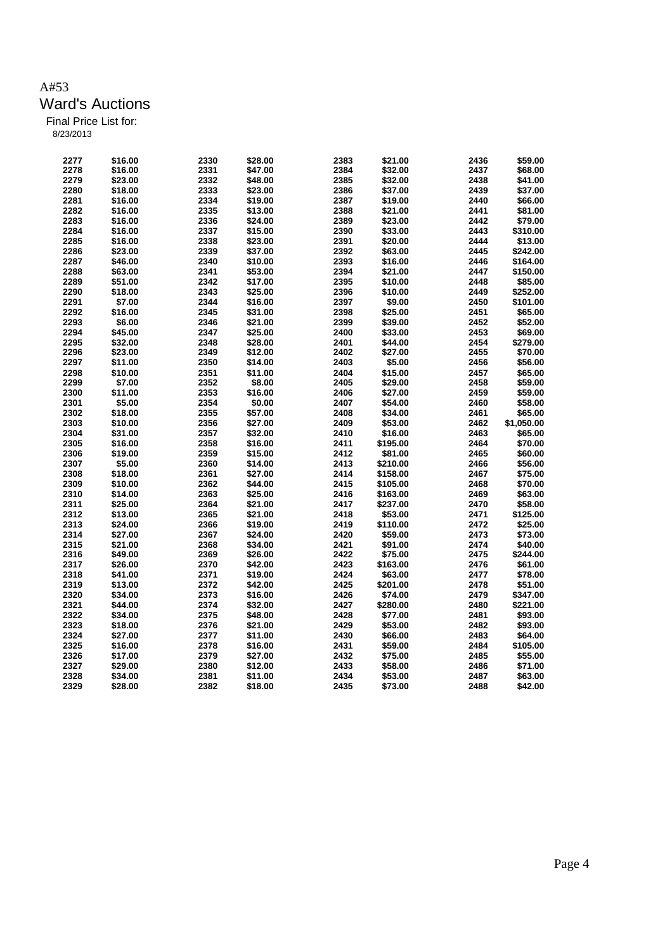| 2277 | \$16.00 | 2330 | \$28.00 | 2383 | \$21.00  | 2436 | \$59.00    |
|------|---------|------|---------|------|----------|------|------------|
| 2278 | \$16.00 | 2331 | \$47.00 | 2384 | \$32.00  | 2437 | \$68.00    |
|      |         |      |         |      |          |      |            |
| 2279 | \$23.00 | 2332 | \$48.00 | 2385 | \$32.00  | 2438 | \$41.00    |
| 2280 | \$18.00 | 2333 | \$23.00 | 2386 | \$37.00  | 2439 | \$37.00    |
| 2281 | \$16.00 | 2334 | \$19.00 | 2387 | \$19.00  | 2440 | \$66.00    |
| 2282 | \$16.00 | 2335 | \$13.00 | 2388 | \$21.00  | 2441 | \$81.00    |
| 2283 | \$16.00 | 2336 | \$24.00 | 2389 | \$23.00  | 2442 | \$79.00    |
| 2284 | \$16.00 | 2337 | \$15.00 | 2390 | \$33.00  | 2443 | \$310.00   |
| 2285 | \$16.00 | 2338 | \$23.00 | 2391 | \$20.00  | 2444 | \$13.00    |
| 2286 | \$23.00 | 2339 | \$37.00 | 2392 | \$63.00  | 2445 | \$242.00   |
| 2287 | \$46.00 | 2340 | \$10.00 | 2393 | \$16.00  | 2446 | \$164.00   |
| 2288 | \$63.00 | 2341 | \$53.00 | 2394 | \$21.00  | 2447 | \$150.00   |
| 2289 | \$51.00 | 2342 | \$17.00 | 2395 | \$10.00  | 2448 | \$85.00    |
| 2290 | \$18.00 | 2343 | \$25.00 | 2396 | \$10.00  | 2449 | \$252.00   |
| 2291 | \$7.00  | 2344 | \$16.00 | 2397 | \$9.00   | 2450 | \$101.00   |
| 2292 | \$16.00 | 2345 | \$31.00 | 2398 | \$25.00  | 2451 | \$65.00    |
| 2293 | \$6.00  | 2346 | \$21.00 | 2399 | \$39.00  | 2452 | \$52.00    |
| 2294 | \$45.00 | 2347 | \$25.00 | 2400 | \$33.00  | 2453 | \$69.00    |
| 2295 | \$32.00 | 2348 | \$28.00 | 2401 | \$44.00  | 2454 | \$279.00   |
| 2296 | \$23.00 | 2349 | \$12.00 | 2402 | \$27.00  | 2455 | \$70.00    |
| 2297 | \$11.00 | 2350 |         | 2403 | \$5.00   | 2456 |            |
|      |         |      | \$14.00 |      |          |      | \$56.00    |
| 2298 | \$10.00 | 2351 | \$11.00 | 2404 | \$15.00  | 2457 | \$65.00    |
| 2299 | \$7.00  | 2352 | \$8.00  | 2405 | \$29.00  | 2458 | \$59.00    |
| 2300 | \$11.00 | 2353 | \$16.00 | 2406 | \$27.00  | 2459 | \$59.00    |
| 2301 | \$5.00  | 2354 | \$0.00  | 2407 | \$54.00  | 2460 | \$58.00    |
| 2302 | \$18.00 | 2355 | \$57.00 | 2408 | \$34.00  | 2461 | \$65.00    |
| 2303 | \$10.00 | 2356 | \$27.00 | 2409 | \$53.00  | 2462 | \$1,050.00 |
| 2304 | \$31.00 | 2357 | \$32.00 | 2410 | \$16.00  | 2463 | \$65.00    |
| 2305 | \$16.00 | 2358 | \$16.00 | 2411 | \$195.00 | 2464 | \$70.00    |
| 2306 | \$19.00 | 2359 | \$15.00 | 2412 | \$81.00  | 2465 | \$60.00    |
| 2307 | \$5.00  | 2360 | \$14.00 | 2413 | \$210.00 | 2466 | \$56.00    |
| 2308 | \$18.00 | 2361 | \$27.00 | 2414 | \$158.00 | 2467 | \$75.00    |
| 2309 | \$10.00 | 2362 | \$44.00 | 2415 | \$105.00 | 2468 | \$70.00    |
| 2310 | \$14.00 | 2363 | \$25.00 | 2416 | \$163.00 | 2469 | \$63.00    |
| 2311 | \$25.00 | 2364 | \$21.00 | 2417 | \$237.00 | 2470 | \$58.00    |
| 2312 | \$13.00 | 2365 | \$21.00 | 2418 | \$53.00  | 2471 | \$125.00   |
| 2313 | \$24.00 | 2366 | \$19.00 | 2419 | \$110.00 | 2472 | \$25.00    |
| 2314 | \$27.00 | 2367 | \$24.00 | 2420 | \$59.00  | 2473 | \$73.00    |
| 2315 | \$21.00 | 2368 | \$34.00 | 2421 | \$91.00  | 2474 | \$40.00    |
| 2316 | \$49.00 | 2369 | \$26.00 | 2422 | \$75.00  | 2475 | \$244.00   |
| 2317 | \$26.00 | 2370 | \$42.00 | 2423 | \$163.00 | 2476 | \$61.00    |
| 2318 | \$41.00 | 2371 | \$19.00 | 2424 | \$63.00  | 2477 | \$78.00    |
| 2319 | \$13.00 | 2372 | \$42.00 | 2425 | \$201.00 | 2478 | \$51.00    |
| 2320 |         | 2373 |         | 2426 |          | 2479 |            |
|      | \$34.00 |      | \$16.00 |      | \$74.00  |      | \$347.00   |
| 2321 | \$44.00 | 2374 | \$32.00 | 2427 | \$280.00 | 2480 | \$221.00   |
| 2322 | \$34.00 | 2375 | \$48.00 | 2428 | \$77.00  | 2481 | \$93.00    |
| 2323 | \$18.00 | 2376 | \$21.00 | 2429 | \$53.00  | 2482 | \$93.00    |
| 2324 | \$27.00 | 2377 | \$11.00 | 2430 | \$66.00  | 2483 | \$64.00    |
| 2325 | \$16.00 | 2378 | \$16.00 | 2431 | \$59.00  | 2484 | \$105.00   |
| 2326 | \$17.00 | 2379 | \$27.00 | 2432 | \$75.00  | 2485 | \$55.00    |
| 2327 | \$29.00 | 2380 | \$12.00 | 2433 | \$58.00  | 2486 | \$71.00    |
| 2328 | \$34.00 | 2381 | \$11.00 | 2434 | \$53.00  | 2487 | \$63.00    |
| 2329 | \$28.00 | 2382 | \$18.00 | 2435 | \$73.00  | 2488 | \$42.00    |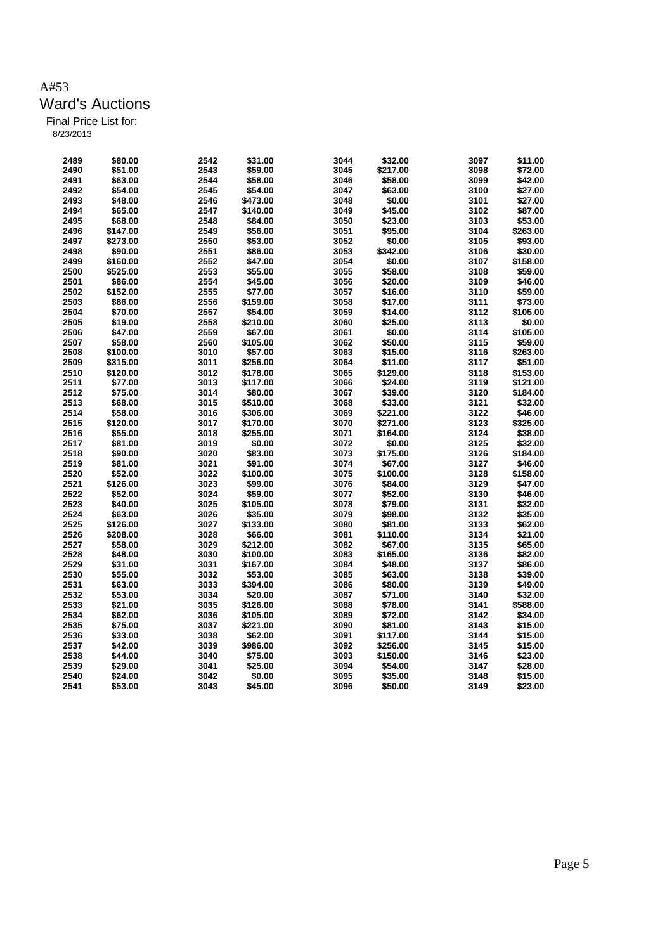| 2489 | \$80.00  | 2542 | \$31.00  | 3044 | \$32.00  | 3097         | \$11.00  |
|------|----------|------|----------|------|----------|--------------|----------|
| 2490 | \$51.00  | 2543 | \$59.00  | 3045 | \$217.00 | 3098         | \$72.00  |
| 2491 | \$63.00  | 2544 | \$58.00  | 3046 | \$58.00  | 3099         | \$42.00  |
| 2492 |          | 2545 |          | 3047 | \$63.00  |              |          |
|      | \$54.00  |      | \$54.00  |      |          | 3100         | \$27.00  |
| 2493 | \$48.00  | 2546 | \$473.00 | 3048 | \$0.00   | 3101         | \$27.00  |
| 2494 | \$65.00  | 2547 | \$140.00 | 3049 | \$45.00  | 3102         | \$87.00  |
| 2495 | \$68.00  | 2548 | \$84.00  | 3050 | \$23.00  | 3103         | \$53.00  |
| 2496 | \$147.00 | 2549 | \$56.00  | 3051 | \$95.00  | 3104         | \$263.00 |
| 2497 | \$273.00 | 2550 | \$53.00  | 3052 | \$0.00   | 3105         | \$93.00  |
| 2498 | \$90.00  | 2551 | \$86.00  | 3053 | \$342.00 | 3106         | \$30.00  |
| 2499 | \$160.00 | 2552 | \$47.00  | 3054 | \$0.00   | 3107         | \$158.00 |
| 2500 | \$525.00 | 2553 | \$55.00  | 3055 | \$58.00  | 3108         | \$59.00  |
| 2501 | \$86.00  | 2554 | \$45.00  | 3056 | \$20.00  | 3109         | \$46.00  |
| 2502 | \$152.00 | 2555 | \$77.00  | 3057 | \$16.00  | 3110         | \$59.00  |
| 2503 | \$86.00  | 2556 | \$159.00 | 3058 | \$17.00  | 3111         | \$73.00  |
| 2504 | \$70.00  | 2557 | \$54.00  | 3059 | \$14.00  | 3112         | \$105.00 |
| 2505 | \$19.00  | 2558 | \$210.00 | 3060 | \$25.00  | 3113         | \$0.00   |
| 2506 | \$47.00  | 2559 | \$67.00  | 3061 | \$0.00   | 3114         | \$105.00 |
| 2507 | \$58.00  | 2560 | \$105.00 | 3062 | \$50.00  | 3115         | \$59.00  |
| 2508 | \$100.00 | 3010 | \$57.00  | 3063 | \$15.00  | 3116         | \$263.00 |
| 2509 | \$315.00 | 3011 | \$256.00 | 3064 | \$11.00  | 3117         | \$51.00  |
| 2510 | \$120.00 | 3012 | \$178.00 | 3065 | \$129.00 | 3118         | \$153.00 |
| 2511 | \$77.00  | 3013 | \$117.00 | 3066 | \$24.00  | 3119         | \$121.00 |
| 2512 | \$75.00  | 3014 | \$80.00  | 3067 | \$39.00  | 3120         | \$184.00 |
| 2513 | \$68.00  | 3015 | \$510.00 | 3068 | \$33.00  | 3121         | \$32.00  |
| 2514 | \$58.00  | 3016 | \$306.00 | 3069 | \$221.00 | 3122         | \$46.00  |
| 2515 | \$120.00 | 3017 | \$170.00 | 3070 | \$271.00 | 3123         | \$325.00 |
| 2516 | \$55.00  | 3018 | \$255.00 | 3071 | \$164.00 | 3124         | \$38.00  |
| 2517 | \$81.00  | 3019 | \$0.00   | 3072 | \$0.00   | 3125         | \$32.00  |
| 2518 | \$90.00  |      |          | 3073 |          |              |          |
| 2519 |          | 3020 | \$83.00  | 3074 | \$175.00 | 3126<br>3127 | \$184.00 |
|      | \$81.00  | 3021 | \$91.00  |      | \$67.00  |              | \$46.00  |
| 2520 | \$52.00  | 3022 | \$100.00 | 3075 | \$100.00 | 3128         | \$158.00 |
| 2521 | \$126.00 | 3023 | \$99.00  | 3076 | \$84.00  | 3129         | \$47.00  |
| 2522 | \$52.00  | 3024 | \$59.00  | 3077 | \$52.00  | 3130         | \$46.00  |
| 2523 | \$40.00  | 3025 | \$105.00 | 3078 | \$79.00  | 3131         | \$32.00  |
| 2524 | \$63.00  | 3026 | \$35.00  | 3079 | \$98.00  | 3132         | \$35.00  |
| 2525 | \$126.00 | 3027 | \$133.00 | 3080 | \$81.00  | 3133         | \$62.00  |
| 2526 | \$208.00 | 3028 | \$66.00  | 3081 | \$110.00 | 3134         | \$21.00  |
| 2527 | \$58.00  | 3029 | \$212.00 | 3082 | \$67.00  | 3135         | \$65.00  |
| 2528 | \$48.00  | 3030 | \$100.00 | 3083 | \$165.00 | 3136         | \$82.00  |
| 2529 | \$31.00  | 3031 | \$167.00 | 3084 | \$48.00  | 3137         | \$86.00  |
| 2530 | \$55.00  | 3032 | \$53.00  | 3085 | \$63.00  | 3138         | \$39.00  |
| 2531 | \$63.00  | 3033 | \$394.00 | 3086 | \$80.00  | 3139         | \$49.00  |
| 2532 | \$53.00  | 3034 | \$20.00  | 3087 | \$71.00  | 3140         | \$32.00  |
| 2533 | \$21.00  | 3035 | \$126.00 | 3088 | \$78.00  | 3141         | \$588.00 |
| 2534 | \$62.00  | 3036 | \$105.00 | 3089 | \$72.00  | 3142         | \$34.00  |
| 2535 | \$75.00  | 3037 | \$221.00 | 3090 | \$81.00  | 3143         | \$15.00  |
| 2536 | \$33.00  | 3038 | \$62.00  | 3091 | \$117.00 | 3144         | \$15.00  |
| 2537 | \$42.00  | 3039 | \$986.00 | 3092 | \$256.00 | 3145         | \$15.00  |
| 2538 | \$44.00  | 3040 | \$75.00  | 3093 | \$150.00 | 3146         | \$23.00  |
| 2539 | \$29.00  | 3041 | \$25.00  | 3094 | \$54.00  | 3147         | \$28.00  |
| 2540 | \$24.00  | 3042 | \$0.00   | 3095 | \$35.00  | 3148         | \$15.00  |
| 2541 | \$53.00  | 3043 | \$45.00  | 3096 | \$50.00  | 3149         | \$23.00  |
|      |          |      |          |      |          |              |          |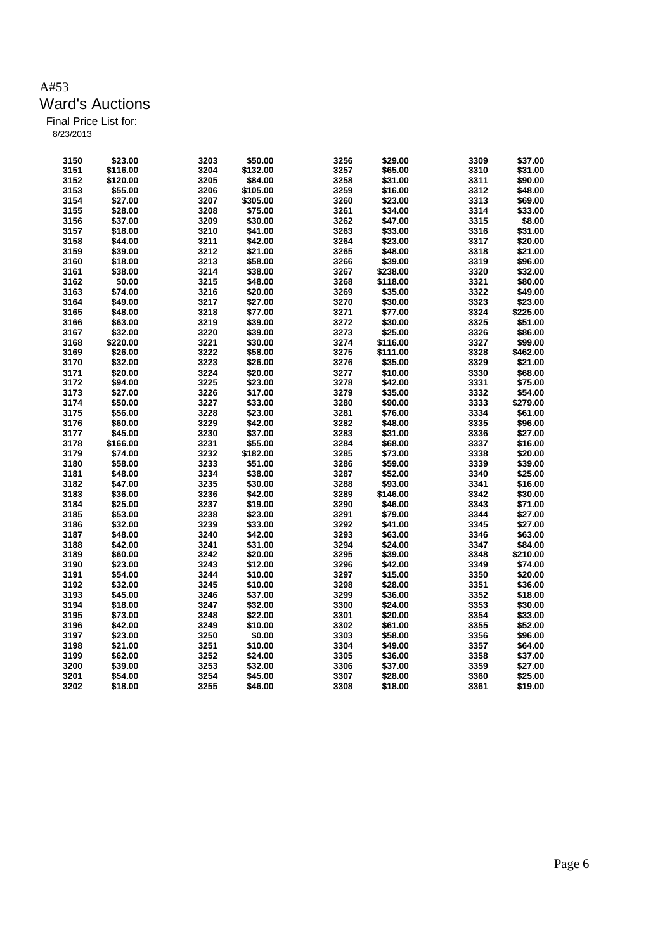| 3150 | \$23.00            | 3203 | \$50.00  | 3256 | \$29.00  | 3309 | \$37.00  |
|------|--------------------|------|----------|------|----------|------|----------|
| 3151 | \$116.00           | 3204 | \$132.00 | 3257 | \$65.00  | 3310 | \$31.00  |
| 3152 | \$120.00           | 3205 | \$84.00  | 3258 | \$31.00  | 3311 | \$90.00  |
| 3153 | \$55.00            | 3206 | \$105.00 | 3259 | \$16.00  | 3312 | \$48.00  |
| 3154 | \$27.00            | 3207 | \$305.00 | 3260 | \$23.00  | 3313 | \$69.00  |
| 3155 |                    | 3208 | \$75.00  | 3261 | \$34.00  | 3314 | \$33.00  |
|      | \$28.00<br>\$37.00 | 3209 |          | 3262 |          |      | \$8.00   |
| 3156 |                    |      | \$30.00  |      | \$47.00  | 3315 |          |
| 3157 | \$18.00            | 3210 | \$41.00  | 3263 | \$33.00  | 3316 | \$31.00  |
| 3158 | \$44.00            | 3211 | \$42.00  | 3264 | \$23.00  | 3317 | \$20.00  |
| 3159 | \$39.00            | 3212 | \$21.00  | 3265 | \$48.00  | 3318 | \$21.00  |
| 3160 | \$18.00            | 3213 | \$58.00  | 3266 | \$39.00  | 3319 | \$96.00  |
| 3161 | \$38.00            | 3214 | \$38.00  | 3267 | \$238.00 | 3320 | \$32.00  |
| 3162 | \$0.00             | 3215 | \$48.00  | 3268 | \$118.00 | 3321 | \$80.00  |
| 3163 | \$74.00            | 3216 | \$20.00  | 3269 | \$35.00  | 3322 | \$49.00  |
| 3164 | \$49.00            | 3217 | \$27.00  | 3270 | \$30.00  | 3323 | \$23.00  |
| 3165 | \$48.00            | 3218 | \$77.00  | 3271 | \$77.00  | 3324 | \$225.00 |
| 3166 | \$63.00            | 3219 | \$39.00  | 3272 | \$30.00  | 3325 | \$51.00  |
| 3167 | \$32.00            | 3220 | \$39.00  | 3273 | \$25.00  | 3326 | \$86.00  |
| 3168 | \$220.00           | 3221 | \$30.00  | 3274 | \$116.00 | 3327 | \$99.00  |
| 3169 | \$26.00            | 3222 | \$58.00  | 3275 | \$111.00 | 3328 | \$462.00 |
| 3170 | \$32.00            | 3223 | \$26.00  | 3276 | \$35.00  | 3329 | \$21.00  |
| 3171 | \$20.00            | 3224 | \$20.00  | 3277 | \$10.00  | 3330 | \$68.00  |
| 3172 | \$94.00            | 3225 | \$23.00  | 3278 | \$42.00  | 3331 | \$75.00  |
| 3173 | \$27.00            | 3226 | \$17.00  | 3279 | \$35.00  | 3332 | \$54.00  |
| 3174 | \$50.00            | 3227 | \$33.00  | 3280 | \$90.00  | 3333 | \$279.00 |
| 3175 | \$56.00            | 3228 | \$23.00  | 3281 | \$76.00  | 3334 | \$61.00  |
| 3176 | \$60.00            | 3229 | \$42.00  | 3282 | \$48.00  | 3335 | \$96.00  |
| 3177 | \$45.00            | 3230 | \$37.00  | 3283 | \$31.00  | 3336 | \$27.00  |
| 3178 | \$166.00           | 3231 | \$55.00  | 3284 | \$68.00  | 3337 | \$16.00  |
| 3179 | \$74.00            | 3232 | \$182.00 | 3285 | \$73.00  | 3338 | \$20.00  |
| 3180 | \$58.00            | 3233 | \$51.00  | 3286 | \$59.00  | 3339 | \$39.00  |
| 3181 | \$48.00            | 3234 | \$38.00  | 3287 | \$52.00  | 3340 | \$25.00  |
| 3182 | \$47.00            | 3235 | \$30.00  | 3288 | \$93.00  | 3341 | \$16.00  |
| 3183 | \$36.00            | 3236 | \$42.00  | 3289 | \$146.00 | 3342 | \$30.00  |
|      |                    |      |          | 3290 |          | 3343 |          |
| 3184 | \$25.00            | 3237 | \$19.00  |      | \$46.00  |      | \$71.00  |
| 3185 | \$53.00            | 3238 | \$23.00  | 3291 | \$79.00  | 3344 | \$27.00  |
| 3186 | \$32.00            | 3239 | \$33.00  | 3292 | \$41.00  | 3345 | \$27.00  |
| 3187 | \$48.00            | 3240 | \$42.00  | 3293 | \$63.00  | 3346 | \$63.00  |
| 3188 | \$42.00            | 3241 | \$31.00  | 3294 | \$24.00  | 3347 | \$84.00  |
| 3189 | \$60.00            | 3242 | \$20.00  | 3295 | \$39.00  | 3348 | \$210.00 |
| 3190 | \$23.00            | 3243 | \$12.00  | 3296 | \$42.00  | 3349 | \$74.00  |
| 3191 | \$54.00            | 3244 | \$10.00  | 3297 | \$15.00  | 3350 | \$20.00  |
| 3192 | \$32.00            | 3245 | \$10.00  | 3298 | \$28.00  | 3351 | \$36.00  |
| 3193 | \$45.00            | 3246 | \$37.00  | 3299 | \$36.00  | 3352 | \$18.00  |
| 3194 | \$18.00            | 3247 | \$32.00  | 3300 | \$24.00  | 3353 | \$30.00  |
| 3195 | \$73.00            | 3248 | \$22.00  | 3301 | \$20.00  | 3354 | \$33.00  |
| 3196 | \$42.00            | 3249 | \$10.00  | 3302 | \$61.00  | 3355 | \$52.00  |
| 3197 | \$23.00            | 3250 | \$0.00   | 3303 | \$58.00  | 3356 | \$96.00  |
| 3198 | \$21.00            | 3251 | \$10.00  | 3304 | \$49.00  | 3357 | \$64.00  |
| 3199 | \$62.00            | 3252 | \$24.00  | 3305 | \$36.00  | 3358 | \$37.00  |
| 3200 | \$39.00            | 3253 | \$32.00  | 3306 | \$37.00  | 3359 | \$27.00  |
| 3201 | \$54.00            | 3254 | \$45.00  | 3307 | \$28.00  | 3360 | \$25.00  |
| 3202 | \$18.00            | 3255 | \$46.00  | 3308 | \$18.00  | 3361 | \$19.00  |
|      |                    |      |          |      |          |      |          |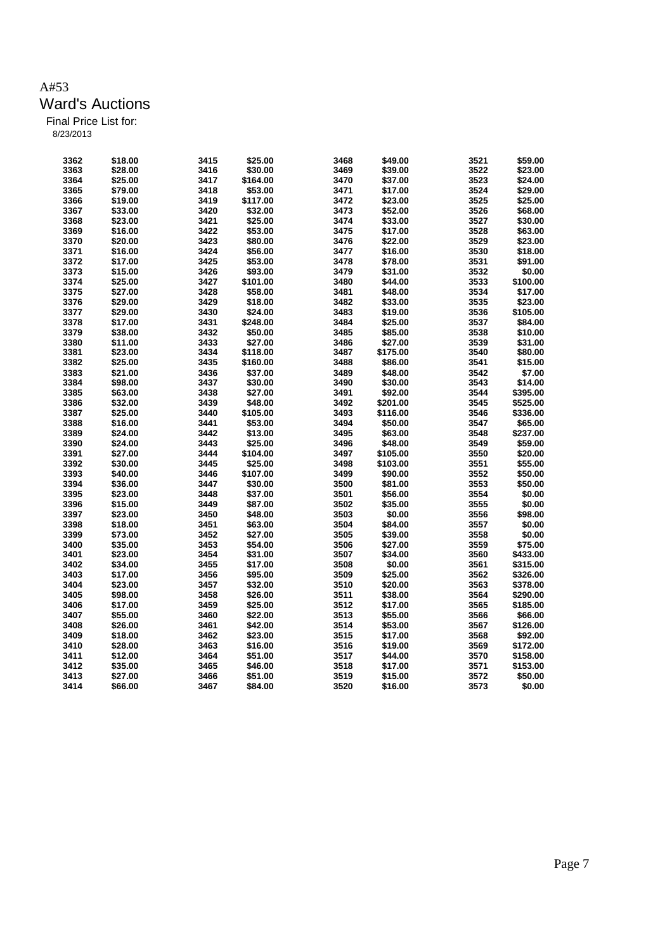| 3362 | \$18.00 | 3415 | \$25.00  | 3468 | \$49.00  | 3521 | \$59.00  |
|------|---------|------|----------|------|----------|------|----------|
|      |         |      |          |      |          |      |          |
| 3363 | \$28.00 | 3416 | \$30.00  | 3469 | \$39.00  | 3522 | \$23.00  |
| 3364 | \$25.00 | 3417 | \$164.00 | 3470 | \$37.00  | 3523 | \$24.00  |
| 3365 | \$79.00 | 3418 | \$53.00  | 3471 | \$17.00  | 3524 | \$29.00  |
| 3366 | \$19.00 | 3419 | \$117.00 | 3472 | \$23.00  | 3525 | \$25.00  |
| 3367 | \$33.00 | 3420 | \$32.00  | 3473 | \$52.00  | 3526 | \$68.00  |
| 3368 | \$23.00 | 3421 | \$25.00  | 3474 | \$33.00  | 3527 | \$30.00  |
| 3369 | \$16.00 | 3422 | \$53.00  | 3475 | \$17.00  | 3528 | \$63.00  |
| 3370 | \$20.00 | 3423 | \$80.00  | 3476 | \$22.00  | 3529 | \$23.00  |
| 3371 | \$16.00 | 3424 | \$56.00  | 3477 | \$16.00  | 3530 | \$18.00  |
| 3372 | \$17.00 | 3425 | \$53.00  | 3478 | \$78.00  | 3531 | \$91.00  |
| 3373 | \$15.00 | 3426 | \$93.00  | 3479 | \$31.00  | 3532 | \$0.00   |
| 3374 | \$25.00 | 3427 | \$101.00 | 3480 | \$44.00  | 3533 | \$100.00 |
| 3375 | \$27.00 | 3428 | \$58.00  | 3481 | \$48.00  | 3534 | \$17.00  |
| 3376 | \$29.00 | 3429 | \$18.00  | 3482 | \$33.00  | 3535 | \$23.00  |
| 3377 |         |      |          | 3483 |          | 3536 | \$105.00 |
|      | \$29.00 | 3430 | \$24.00  |      | \$19.00  |      |          |
| 3378 | \$17.00 | 3431 | \$248.00 | 3484 | \$25.00  | 3537 | \$84.00  |
| 3379 | \$38.00 | 3432 | \$50.00  | 3485 | \$85.00  | 3538 | \$10.00  |
| 3380 | \$11.00 | 3433 | \$27.00  | 3486 | \$27.00  | 3539 | \$31.00  |
| 3381 | \$23.00 | 3434 | \$118.00 | 3487 | \$175.00 | 3540 | \$80.00  |
| 3382 | \$25.00 | 3435 | \$160.00 | 3488 | \$86.00  | 3541 | \$15.00  |
| 3383 | \$21.00 | 3436 | \$37.00  | 3489 | \$48.00  | 3542 | \$7.00   |
| 3384 | \$98.00 | 3437 | \$30.00  | 3490 | \$30.00  | 3543 | \$14.00  |
| 3385 | \$63.00 | 3438 | \$27.00  | 3491 | \$92.00  | 3544 | \$395.00 |
| 3386 | \$32.00 | 3439 | \$48.00  | 3492 | \$201.00 | 3545 | \$525.00 |
| 3387 | \$25.00 | 3440 | \$105.00 | 3493 | \$116.00 | 3546 | \$336.00 |
| 3388 | \$16.00 | 3441 | \$53.00  | 3494 | \$50.00  | 3547 | \$65.00  |
| 3389 | \$24.00 | 3442 | \$13.00  | 3495 | \$63.00  | 3548 | \$237.00 |
| 3390 | \$24.00 | 3443 | \$25.00  | 3496 | \$48.00  | 3549 | \$59.00  |
| 3391 | \$27.00 | 3444 | \$104.00 | 3497 | \$105.00 | 3550 | \$20.00  |
| 3392 | \$30.00 | 3445 | \$25.00  | 3498 | \$103.00 | 3551 | \$55.00  |
| 3393 | \$40.00 | 3446 | \$107.00 | 3499 | \$90.00  | 3552 | \$50.00  |
| 3394 | \$36.00 | 3447 | \$30.00  | 3500 | \$81.00  | 3553 | \$50.00  |
| 3395 | \$23.00 | 3448 | \$37.00  | 3501 | \$56.00  | 3554 | \$0.00   |
| 3396 | \$15.00 | 3449 | \$87.00  | 3502 | \$35.00  | 3555 | \$0.00   |
| 3397 |         |      | \$48.00  | 3503 |          | 3556 | \$98.00  |
|      | \$23.00 | 3450 |          |      | \$0.00   |      |          |
| 3398 | \$18.00 | 3451 | \$63.00  | 3504 | \$84.00  | 3557 | \$0.00   |
| 3399 | \$73.00 | 3452 | \$27.00  | 3505 | \$39.00  | 3558 | \$0.00   |
| 3400 | \$35.00 | 3453 | \$54.00  | 3506 | \$27.00  | 3559 | \$75.00  |
| 3401 | \$23.00 | 3454 | \$31.00  | 3507 | \$34.00  | 3560 | \$433.00 |
| 3402 | \$34.00 | 3455 | \$17.00  | 3508 | \$0.00   | 3561 | \$315.00 |
| 3403 | \$17.00 | 3456 | \$95.00  | 3509 | \$25.00  | 3562 | \$326.00 |
| 3404 | \$23.00 | 3457 | \$32.00  | 3510 | \$20.00  | 3563 | \$378.00 |
| 3405 | \$98.00 | 3458 | \$26.00  | 3511 | \$38.00  | 3564 | \$290.00 |
| 3406 | \$17.00 | 3459 | \$25.00  | 3512 | \$17.00  | 3565 | \$185.00 |
| 3407 | \$55.00 | 3460 | \$22.00  | 3513 | \$55.00  | 3566 | \$66.00  |
| 3408 | \$26.00 | 3461 | \$42.00  | 3514 | \$53.00  | 3567 | \$126.00 |
| 3409 | \$18.00 | 3462 | \$23.00  | 3515 | \$17.00  | 3568 | \$92.00  |
| 3410 | \$28.00 | 3463 | \$16.00  | 3516 | \$19.00  | 3569 | \$172.00 |
| 3411 | \$12.00 | 3464 | \$51.00  | 3517 | \$44.00  | 3570 | \$158.00 |
| 3412 | \$35.00 | 3465 | \$46.00  | 3518 | \$17.00  | 3571 | \$153.00 |
| 3413 | \$27.00 | 3466 | \$51.00  | 3519 | \$15.00  | 3572 | \$50.00  |
| 3414 | \$66.00 | 3467 | \$84.00  | 3520 | \$16.00  | 3573 | \$0.00   |
|      |         |      |          |      |          |      |          |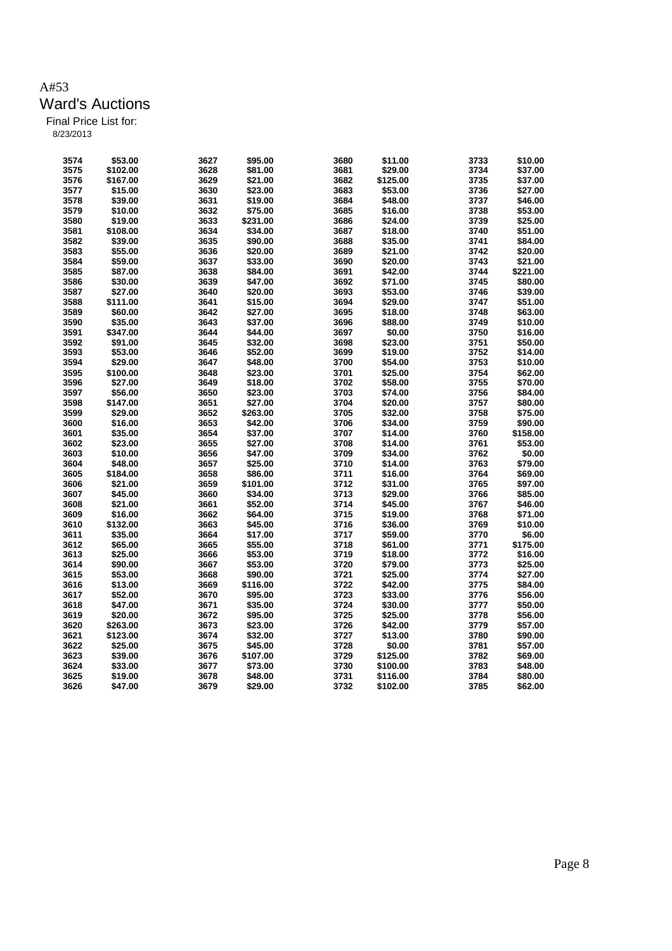| 3574 | \$53.00  | 3627 | \$95.00  | 3680 | \$11.00  | 3733 | \$10.00  |
|------|----------|------|----------|------|----------|------|----------|
| 3575 | \$102.00 | 3628 | \$81.00  | 3681 | \$29.00  | 3734 | \$37.00  |
| 3576 | \$167.00 | 3629 | \$21.00  | 3682 | \$125.00 | 3735 | \$37.00  |
| 3577 | \$15.00  | 3630 | \$23.00  | 3683 | \$53.00  | 3736 | \$27.00  |
| 3578 | \$39.00  | 3631 | \$19.00  | 3684 | \$48.00  | 3737 | \$46.00  |
| 3579 | \$10.00  | 3632 | \$75.00  | 3685 | \$16.00  | 3738 | \$53.00  |
| 3580 | \$19.00  | 3633 | \$231.00 | 3686 | \$24.00  | 3739 | \$25.00  |
| 3581 | \$108.00 | 3634 | \$34.00  | 3687 | \$18.00  | 3740 | \$51.00  |
| 3582 | \$39.00  | 3635 | \$90.00  | 3688 | \$35.00  | 3741 | \$84.00  |
| 3583 | \$55.00  | 3636 | \$20.00  | 3689 | \$21.00  | 3742 | \$20.00  |
| 3584 | \$59.00  | 3637 | \$33.00  | 3690 | \$20.00  | 3743 | \$21.00  |
| 3585 | \$87.00  | 3638 | \$84.00  | 3691 | \$42.00  | 3744 | \$221.00 |
| 3586 | \$30.00  | 3639 | \$47.00  | 3692 | \$71.00  | 3745 | \$80.00  |
| 3587 | \$27.00  | 3640 | \$20.00  | 3693 | \$53.00  | 3746 | \$39.00  |
| 3588 | \$111.00 | 3641 | \$15.00  | 3694 | \$29.00  | 3747 | \$51.00  |
| 3589 | \$60.00  | 3642 | \$27.00  | 3695 | \$18.00  | 3748 | \$63.00  |
| 3590 | \$35.00  | 3643 | \$37.00  | 3696 | \$88.00  | 3749 | \$10.00  |
| 3591 | \$347.00 | 3644 | \$44.00  | 3697 | \$0.00   | 3750 | \$16.00  |
| 3592 | \$91.00  | 3645 | \$32.00  | 3698 | \$23.00  | 3751 | \$50.00  |
| 3593 | \$53.00  | 3646 | \$52.00  | 3699 | \$19.00  | 3752 | \$14.00  |
| 3594 | \$29.00  | 3647 | \$48.00  | 3700 | \$54.00  | 3753 | \$10.00  |
| 3595 | \$100.00 | 3648 | \$23.00  | 3701 | \$25.00  | 3754 | \$62.00  |
| 3596 | \$27.00  | 3649 | \$18.00  | 3702 | \$58.00  | 3755 | \$70.00  |
| 3597 | \$56.00  | 3650 | \$23.00  | 3703 | \$74.00  | 3756 | \$84.00  |
| 3598 | \$147.00 | 3651 | \$27.00  | 3704 | \$20.00  | 3757 | \$80.00  |
| 3599 | \$29.00  | 3652 | \$263.00 | 3705 | \$32.00  | 3758 | \$75.00  |
| 3600 | \$16.00  | 3653 | \$42.00  | 3706 | \$34.00  | 3759 | \$90.00  |
| 3601 | \$35.00  | 3654 | \$37.00  | 3707 | \$14.00  | 3760 | \$158.00 |
| 3602 | \$23.00  | 3655 | \$27.00  | 3708 | \$14.00  | 3761 | \$53.00  |
| 3603 | \$10.00  | 3656 | \$47.00  | 3709 | \$34.00  | 3762 | \$0.00   |
| 3604 | \$48.00  | 3657 | \$25.00  | 3710 | \$14.00  | 3763 | \$79.00  |
| 3605 | \$184.00 | 3658 | \$86.00  | 3711 | \$16.00  | 3764 | \$69.00  |
| 3606 | \$21.00  | 3659 | \$101.00 | 3712 | \$31.00  | 3765 | \$97.00  |
| 3607 | \$45.00  | 3660 | \$34.00  | 3713 | \$29.00  | 3766 | \$85.00  |
| 3608 | \$21.00  | 3661 | \$52.00  | 3714 | \$45.00  | 3767 | \$46.00  |
| 3609 | \$16.00  | 3662 | \$64.00  | 3715 | \$19.00  | 3768 | \$71.00  |
| 3610 | \$132.00 | 3663 | \$45.00  | 3716 | \$36.00  | 3769 | \$10.00  |
| 3611 | \$35.00  | 3664 | \$17.00  | 3717 | \$59.00  | 3770 | \$6.00   |
| 3612 | \$65.00  | 3665 | \$55.00  | 3718 | \$61.00  | 3771 | \$175.00 |
| 3613 | \$25.00  | 3666 | \$53.00  | 3719 | \$18.00  | 3772 | \$16.00  |
| 3614 | \$90.00  | 3667 | \$53.00  | 3720 | \$79.00  | 3773 | \$25.00  |
| 3615 | \$53.00  | 3668 | \$90.00  | 3721 | \$25.00  | 3774 | \$27.00  |
| 3616 | \$13.00  | 3669 | \$116.00 | 3722 | \$42.00  | 3775 | \$84.00  |
| 3617 | \$52.00  | 3670 | \$95.00  | 3723 | \$33.00  | 3776 | \$56.00  |
| 3618 | \$47.00  | 3671 | \$35.00  | 3724 | \$30.00  | 3777 | \$50.00  |
| 3619 | \$20.00  | 3672 | \$95.00  | 3725 | \$25.00  | 3778 | \$56.00  |
| 3620 | \$263.00 | 3673 | \$23.00  | 3726 | \$42.00  | 3779 | \$57.00  |
| 3621 | \$123.00 | 3674 | \$32.00  | 3727 | \$13.00  | 3780 | \$90.00  |
| 3622 | \$25.00  | 3675 | \$45.00  | 3728 | \$0.00   | 3781 | \$57.00  |
| 3623 | \$39.00  | 3676 | \$107.00 | 3729 | \$125.00 | 3782 | \$69.00  |
| 3624 | \$33.00  | 3677 | \$73.00  | 3730 | \$100.00 | 3783 | \$48.00  |
| 3625 | \$19.00  | 3678 | \$48.00  | 3731 | \$116.00 | 3784 | \$80.00  |
| 3626 | \$47.00  | 3679 | \$29.00  | 3732 | \$102.00 | 3785 | \$62.00  |
|      |          |      |          |      |          |      |          |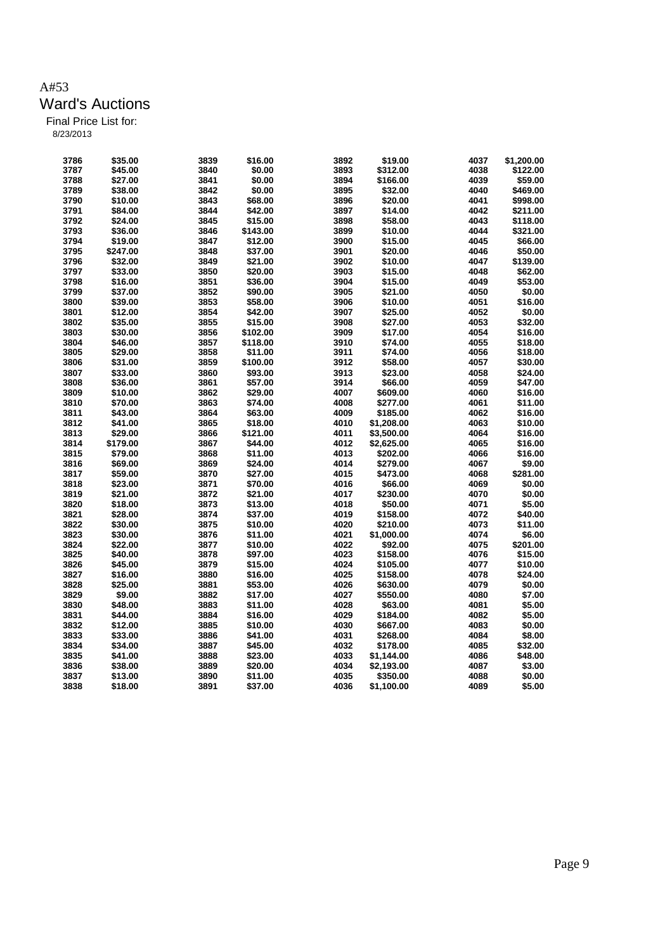| \$19.00<br>3787<br>\$45.00<br>3840<br>\$0.00<br>3893<br>\$312.00<br>4038<br>3788<br>\$27.00<br>\$0.00<br>3894<br>4039<br>3841<br>\$166.00<br>3895<br>3789<br>\$38.00<br>3842<br>\$0.00<br>4040<br>\$32.00<br>3896<br>3790<br>\$10.00<br>3843<br>\$68.00<br>\$20.00<br>4041<br>3791<br>\$84.00<br>3844<br>\$42.00<br>3897<br>\$14.00<br>4042<br>3792<br>\$24.00<br>3845<br>3898<br>\$58.00<br>4043<br>\$15.00<br>3793<br>3899<br>\$36.00<br>3846<br>\$143.00<br>\$10.00<br>4044<br>3794<br>3900<br>4045<br>\$19.00<br>3847<br>\$12.00<br>\$15.00<br>3795<br>\$247.00<br>3848<br>\$37.00<br>3901<br>\$20.00<br>4046<br>3796<br>3849<br>3902<br>4047<br>\$32.00<br>\$21.00<br>\$10.00<br>3797<br>3903<br>\$33.00<br>3850<br>\$20.00<br>\$15.00<br>4048<br>3798<br>3904<br>4049<br>\$16.00<br>3851<br>\$36.00<br>\$15.00<br>3799<br>3852<br>3905 | \$1,200.00<br>\$122.00<br>\$59.00<br>\$469.00<br>\$998.00<br>\$211.00<br>\$118.00 |
|----------------------------------------------------------------------------------------------------------------------------------------------------------------------------------------------------------------------------------------------------------------------------------------------------------------------------------------------------------------------------------------------------------------------------------------------------------------------------------------------------------------------------------------------------------------------------------------------------------------------------------------------------------------------------------------------------------------------------------------------------------------------------------------------------------------------------------------------|-----------------------------------------------------------------------------------|
|                                                                                                                                                                                                                                                                                                                                                                                                                                                                                                                                                                                                                                                                                                                                                                                                                                              |                                                                                   |
|                                                                                                                                                                                                                                                                                                                                                                                                                                                                                                                                                                                                                                                                                                                                                                                                                                              |                                                                                   |
|                                                                                                                                                                                                                                                                                                                                                                                                                                                                                                                                                                                                                                                                                                                                                                                                                                              |                                                                                   |
|                                                                                                                                                                                                                                                                                                                                                                                                                                                                                                                                                                                                                                                                                                                                                                                                                                              |                                                                                   |
|                                                                                                                                                                                                                                                                                                                                                                                                                                                                                                                                                                                                                                                                                                                                                                                                                                              |                                                                                   |
|                                                                                                                                                                                                                                                                                                                                                                                                                                                                                                                                                                                                                                                                                                                                                                                                                                              |                                                                                   |
|                                                                                                                                                                                                                                                                                                                                                                                                                                                                                                                                                                                                                                                                                                                                                                                                                                              | \$321.00                                                                          |
|                                                                                                                                                                                                                                                                                                                                                                                                                                                                                                                                                                                                                                                                                                                                                                                                                                              | \$66.00                                                                           |
|                                                                                                                                                                                                                                                                                                                                                                                                                                                                                                                                                                                                                                                                                                                                                                                                                                              | \$50.00                                                                           |
|                                                                                                                                                                                                                                                                                                                                                                                                                                                                                                                                                                                                                                                                                                                                                                                                                                              | \$139.00                                                                          |
|                                                                                                                                                                                                                                                                                                                                                                                                                                                                                                                                                                                                                                                                                                                                                                                                                                              | \$62.00                                                                           |
|                                                                                                                                                                                                                                                                                                                                                                                                                                                                                                                                                                                                                                                                                                                                                                                                                                              | \$53.00                                                                           |
| \$37.00<br>\$90.00<br>\$21.00<br>4050                                                                                                                                                                                                                                                                                                                                                                                                                                                                                                                                                                                                                                                                                                                                                                                                        | \$0.00                                                                            |
| 3800<br>\$39.00<br>3853<br>\$58.00<br>3906<br>4051<br>\$10.00                                                                                                                                                                                                                                                                                                                                                                                                                                                                                                                                                                                                                                                                                                                                                                                | \$16.00                                                                           |
| 3854<br>3907<br>4052<br>3801<br>\$12.00<br>\$42.00<br>\$25.00                                                                                                                                                                                                                                                                                                                                                                                                                                                                                                                                                                                                                                                                                                                                                                                | \$0.00                                                                            |
| 3802<br>\$35.00<br>3855<br>\$15.00<br>3908<br>\$27.00<br>4053                                                                                                                                                                                                                                                                                                                                                                                                                                                                                                                                                                                                                                                                                                                                                                                | \$32.00                                                                           |
| 3803<br>3909<br>4054<br>\$30.00<br>3856<br>\$102.00<br>\$17.00                                                                                                                                                                                                                                                                                                                                                                                                                                                                                                                                                                                                                                                                                                                                                                               | \$16.00                                                                           |
| 4055<br>3804<br>\$46.00<br>3857<br>\$118.00<br>3910<br>\$74.00                                                                                                                                                                                                                                                                                                                                                                                                                                                                                                                                                                                                                                                                                                                                                                               | \$18.00                                                                           |
| \$29.00<br>3858<br>3911<br>4056<br>3805<br>\$11.00<br>\$74.00                                                                                                                                                                                                                                                                                                                                                                                                                                                                                                                                                                                                                                                                                                                                                                                | \$18.00                                                                           |
| 3912<br>4057<br>3806<br>\$31.00<br>3859<br>\$100.00<br>\$58.00                                                                                                                                                                                                                                                                                                                                                                                                                                                                                                                                                                                                                                                                                                                                                                               | \$30.00                                                                           |
| 3913<br>3807<br>\$33.00<br>3860<br>\$93.00<br>\$23.00<br>4058                                                                                                                                                                                                                                                                                                                                                                                                                                                                                                                                                                                                                                                                                                                                                                                | \$24.00                                                                           |
| 3914<br>4059<br>3808<br>\$36.00<br>3861<br>\$57.00<br>\$66.00                                                                                                                                                                                                                                                                                                                                                                                                                                                                                                                                                                                                                                                                                                                                                                                | \$47.00                                                                           |
| 4007<br>4060<br>3809<br>\$10.00<br>3862<br>\$29.00<br>\$609.00                                                                                                                                                                                                                                                                                                                                                                                                                                                                                                                                                                                                                                                                                                                                                                               | \$16.00                                                                           |
| 3810<br>\$70.00<br>4008<br>4061<br>3863<br>\$74.00<br>\$277.00                                                                                                                                                                                                                                                                                                                                                                                                                                                                                                                                                                                                                                                                                                                                                                               | \$11.00                                                                           |
| 3811<br>\$43.00<br>4009<br>4062<br>3864<br>\$63.00<br>\$185.00                                                                                                                                                                                                                                                                                                                                                                                                                                                                                                                                                                                                                                                                                                                                                                               | \$16.00                                                                           |
| 3812<br>\$41.00<br>3865<br>\$18.00<br>4010<br>\$1,208.00<br>4063                                                                                                                                                                                                                                                                                                                                                                                                                                                                                                                                                                                                                                                                                                                                                                             | \$10.00                                                                           |
| 3813<br>\$29.00<br>3866<br>\$121.00<br>4011<br>\$3,500.00<br>4064                                                                                                                                                                                                                                                                                                                                                                                                                                                                                                                                                                                                                                                                                                                                                                            | \$16.00                                                                           |
| 4012<br>3814<br>\$179.00<br>3867<br>\$44.00<br>\$2,625.00<br>4065                                                                                                                                                                                                                                                                                                                                                                                                                                                                                                                                                                                                                                                                                                                                                                            | \$16.00                                                                           |
| 3815<br>\$79.00<br>3868<br>\$11.00<br>4013<br>\$202.00<br>4066                                                                                                                                                                                                                                                                                                                                                                                                                                                                                                                                                                                                                                                                                                                                                                               | \$16.00                                                                           |
| 3816<br>3869<br>4014<br>4067<br>\$69.00<br>\$24.00<br>\$279.00                                                                                                                                                                                                                                                                                                                                                                                                                                                                                                                                                                                                                                                                                                                                                                               | \$9.00                                                                            |
| 3817<br>\$59.00<br>3870<br>\$27.00<br>4015<br>\$473.00<br>4068                                                                                                                                                                                                                                                                                                                                                                                                                                                                                                                                                                                                                                                                                                                                                                               | \$281.00                                                                          |
| 4069<br>3818<br>\$23.00<br>3871<br>\$70.00<br>4016<br>\$66.00                                                                                                                                                                                                                                                                                                                                                                                                                                                                                                                                                                                                                                                                                                                                                                                | \$0.00                                                                            |
| 3819<br>\$21.00<br>3872<br>4017<br>4070<br>\$21.00<br>\$230.00                                                                                                                                                                                                                                                                                                                                                                                                                                                                                                                                                                                                                                                                                                                                                                               | \$0.00                                                                            |
| 3820<br>4018<br>4071<br>\$18.00<br>3873<br>\$13.00<br>\$50.00                                                                                                                                                                                                                                                                                                                                                                                                                                                                                                                                                                                                                                                                                                                                                                                | \$5.00                                                                            |
| 3821<br>\$28.00<br>3874<br>\$37.00<br>4019<br>\$158.00<br>4072                                                                                                                                                                                                                                                                                                                                                                                                                                                                                                                                                                                                                                                                                                                                                                               | \$40.00                                                                           |
| 3822<br>3875<br>4020<br>4073<br>\$30.00<br>\$10.00<br>\$210.00                                                                                                                                                                                                                                                                                                                                                                                                                                                                                                                                                                                                                                                                                                                                                                               | \$11.00                                                                           |
| 3823<br>4021<br>\$30.00<br>3876<br>\$11.00<br>\$1,000.00<br>4074                                                                                                                                                                                                                                                                                                                                                                                                                                                                                                                                                                                                                                                                                                                                                                             | \$6.00                                                                            |
| 4022<br>3824<br>\$22.00<br>3877<br>\$10.00<br>\$92.00<br>4075                                                                                                                                                                                                                                                                                                                                                                                                                                                                                                                                                                                                                                                                                                                                                                                | \$201.00                                                                          |
| 3825<br>4023<br>4076<br>\$40.00<br>3878<br>\$97.00<br>\$158.00                                                                                                                                                                                                                                                                                                                                                                                                                                                                                                                                                                                                                                                                                                                                                                               | \$15.00                                                                           |
| 4024<br>3826<br>\$45.00<br>3879<br>\$15.00<br>\$105.00<br>4077                                                                                                                                                                                                                                                                                                                                                                                                                                                                                                                                                                                                                                                                                                                                                                               | \$10.00                                                                           |
| 4025<br>3827<br>\$16.00<br>3880<br>\$16.00<br>\$158.00<br>4078                                                                                                                                                                                                                                                                                                                                                                                                                                                                                                                                                                                                                                                                                                                                                                               | \$24.00                                                                           |
| 3828<br>3881<br>4026<br>4079<br>\$25.00<br>\$53.00<br>\$630.00                                                                                                                                                                                                                                                                                                                                                                                                                                                                                                                                                                                                                                                                                                                                                                               | \$0.00                                                                            |
| 3829<br>\$9.00<br>3882<br>\$17.00<br>4027<br>4080<br>\$550.00                                                                                                                                                                                                                                                                                                                                                                                                                                                                                                                                                                                                                                                                                                                                                                                | \$7.00                                                                            |
| 3830<br>\$48.00<br>3883<br>\$11.00<br>4028<br>4081<br>\$63.00                                                                                                                                                                                                                                                                                                                                                                                                                                                                                                                                                                                                                                                                                                                                                                                | \$5.00                                                                            |
| 4029<br>3831<br>\$44.00<br>3884<br>\$16.00<br>\$184.00<br>4082                                                                                                                                                                                                                                                                                                                                                                                                                                                                                                                                                                                                                                                                                                                                                                               | \$5.00                                                                            |
| 3832<br>\$12.00<br>3885<br>\$10.00<br>4030<br>\$667.00<br>4083                                                                                                                                                                                                                                                                                                                                                                                                                                                                                                                                                                                                                                                                                                                                                                               | \$0.00                                                                            |
| 3833<br>4031<br>\$33.00<br>3886<br>\$41.00<br>\$268.00<br>4084                                                                                                                                                                                                                                                                                                                                                                                                                                                                                                                                                                                                                                                                                                                                                                               | \$8.00                                                                            |
| 3834<br>\$34.00<br>3887<br>4032<br>4085<br>\$45.00<br>\$178.00                                                                                                                                                                                                                                                                                                                                                                                                                                                                                                                                                                                                                                                                                                                                                                               | \$32.00                                                                           |
| 3835<br>\$41.00<br>3888<br>\$23.00<br>4033<br>4086<br>\$1,144.00                                                                                                                                                                                                                                                                                                                                                                                                                                                                                                                                                                                                                                                                                                                                                                             | \$48.00                                                                           |
| 3836<br>\$38.00<br>3889<br>\$20.00<br>4034<br>\$2.193.00<br>4087                                                                                                                                                                                                                                                                                                                                                                                                                                                                                                                                                                                                                                                                                                                                                                             | \$3.00                                                                            |
| 3837<br>4035<br>4088<br>\$13.00<br>3890<br>\$11.00<br>\$350.00                                                                                                                                                                                                                                                                                                                                                                                                                                                                                                                                                                                                                                                                                                                                                                               | \$0.00                                                                            |
| 3838<br>3891<br>4036<br>\$1,100.00<br>4089<br>\$18.00<br>\$37.00                                                                                                                                                                                                                                                                                                                                                                                                                                                                                                                                                                                                                                                                                                                                                                             | \$5.00                                                                            |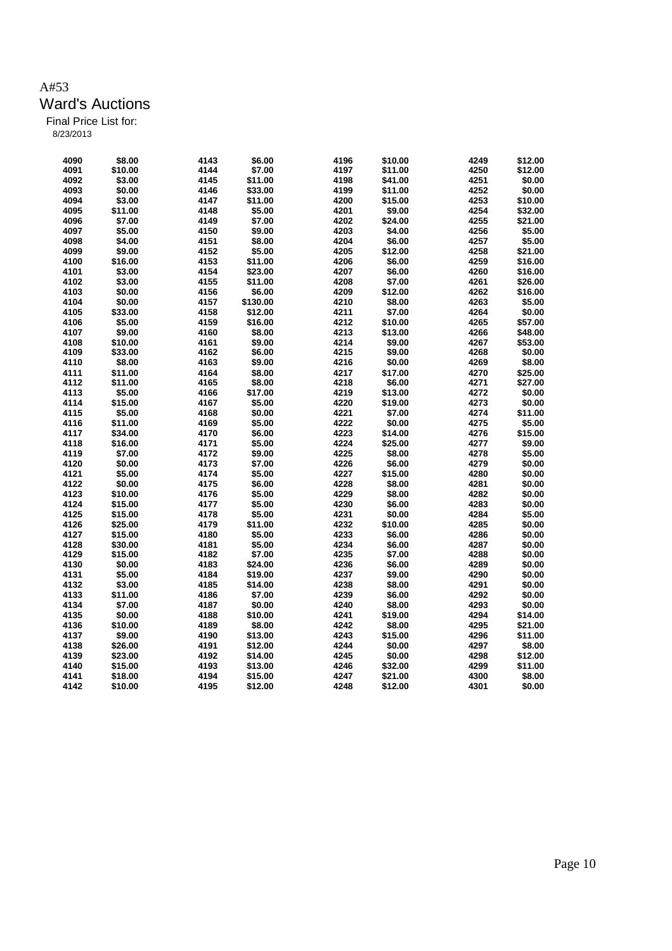| 4090 | \$8.00  | 4143 | \$6.00   | 4196 | \$10.00 | 4249 | \$12.00 |
|------|---------|------|----------|------|---------|------|---------|
| 4091 | \$10.00 | 4144 | \$7.00   | 4197 | \$11.00 | 4250 | \$12.00 |
| 4092 | \$3.00  | 4145 | \$11.00  | 4198 | \$41.00 | 4251 | \$0.00  |
| 4093 | \$0.00  | 4146 | \$33.00  | 4199 | \$11.00 | 4252 | \$0.00  |
| 4094 | \$3.00  | 4147 | \$11.00  | 4200 | \$15.00 | 4253 | \$10.00 |
| 4095 | \$11.00 | 4148 | \$5.00   | 4201 | \$9.00  | 4254 | \$32.00 |
| 4096 | \$7.00  | 4149 | \$7.00   | 4202 | \$24.00 | 4255 | \$21.00 |
| 4097 | \$5.00  | 4150 | \$9.00   | 4203 | \$4.00  | 4256 | \$5.00  |
| 4098 | \$4.00  | 4151 | \$8.00   | 4204 | \$6.00  | 4257 | \$5.00  |
| 4099 | \$9.00  | 4152 | \$5.00   | 4205 | \$12.00 | 4258 | \$21.00 |
| 4100 | \$16.00 | 4153 | \$11.00  | 4206 | \$6.00  | 4259 | \$16.00 |
| 4101 | \$3.00  | 4154 | \$23.00  | 4207 | \$6.00  | 4260 | \$16.00 |
| 4102 | \$3.00  | 4155 | \$11.00  | 4208 | \$7.00  | 4261 | \$26.00 |
| 4103 | \$0.00  | 4156 | \$6.00   | 4209 | \$12.00 | 4262 | \$16.00 |
| 4104 | \$0.00  | 4157 | \$130.00 | 4210 | \$8.00  | 4263 | \$5.00  |
| 4105 | \$33.00 | 4158 | \$12.00  | 4211 | \$7.00  | 4264 | \$0.00  |
| 4106 | \$5.00  | 4159 | \$16.00  | 4212 | \$10.00 | 4265 | \$57.00 |
| 4107 | \$9.00  | 4160 | \$8.00   | 4213 | \$13.00 | 4266 | \$48.00 |
| 4108 | \$10.00 | 4161 | \$9.00   | 4214 | \$9.00  | 4267 | \$53.00 |
| 4109 | \$33.00 | 4162 | \$6.00   | 4215 | \$9.00  | 4268 | \$0.00  |
| 4110 | \$8.00  | 4163 | \$9.00   | 4216 | \$0.00  | 4269 | \$8.00  |
| 4111 | \$11.00 | 4164 | \$8.00   | 4217 | \$17.00 | 4270 | \$25.00 |
| 4112 | \$11.00 | 4165 | \$8.00   | 4218 | \$6.00  | 4271 | \$27.00 |
| 4113 | \$5.00  |      |          | 4219 |         | 4272 | \$0.00  |
|      |         | 4166 | \$17.00  |      | \$13.00 |      |         |
| 4114 | \$15.00 | 4167 | \$5.00   | 4220 | \$19.00 | 4273 | \$0.00  |
| 4115 | \$5.00  | 4168 | \$0.00   | 4221 | \$7.00  | 4274 | \$11.00 |
| 4116 | \$11.00 | 4169 | \$5.00   | 4222 | \$0.00  | 4275 | \$5.00  |
| 4117 | \$34.00 | 4170 | \$6.00   | 4223 | \$14.00 | 4276 | \$15.00 |
| 4118 | \$16.00 | 4171 | \$5.00   | 4224 | \$25.00 | 4277 | \$9.00  |
| 4119 | \$7.00  | 4172 | \$9.00   | 4225 | \$8.00  | 4278 | \$5.00  |
| 4120 | \$0.00  | 4173 | \$7.00   | 4226 | \$6.00  | 4279 | \$0.00  |
| 4121 | \$5.00  | 4174 | \$5.00   | 4227 | \$15.00 | 4280 | \$0.00  |
| 4122 | \$0.00  | 4175 | \$6.00   | 4228 | \$8.00  | 4281 | \$0.00  |
| 4123 | \$10.00 | 4176 | \$5.00   | 4229 | \$8.00  | 4282 | \$0.00  |
| 4124 | \$15.00 | 4177 | \$5.00   | 4230 | \$6.00  | 4283 | \$0.00  |
| 4125 | \$15.00 | 4178 | \$5.00   | 4231 | \$0.00  | 4284 | \$5.00  |
| 4126 | \$25.00 | 4179 | \$11.00  | 4232 | \$10.00 | 4285 | \$0.00  |
| 4127 | \$15.00 | 4180 | \$5.00   | 4233 | \$6.00  | 4286 | \$0.00  |
| 4128 | \$30.00 | 4181 | \$5.00   | 4234 | \$6.00  | 4287 | \$0.00  |
| 4129 | \$15.00 | 4182 | \$7.00   | 4235 | \$7.00  | 4288 | \$0.00  |
| 4130 | \$0.00  | 4183 | \$24.00  | 4236 | \$6.00  | 4289 | \$0.00  |
| 4131 | \$5.00  | 4184 | \$19.00  | 4237 | \$9.00  | 4290 | \$0.00  |
| 4132 | \$3.00  | 4185 | \$14.00  | 4238 | \$8.00  | 4291 | \$0.00  |
| 4133 | \$11.00 | 4186 | \$7.00   | 4239 | \$6.00  | 4292 | \$0.00  |
| 4134 | \$7.00  | 4187 | \$0.00   | 4240 | \$8.00  | 4293 | \$0.00  |
| 4135 | \$0.00  | 4188 | \$10.00  | 4241 | \$19.00 | 4294 | \$14.00 |
| 4136 | \$10.00 | 4189 | \$8.00   | 4242 | \$8.00  | 4295 | \$21.00 |
| 4137 | \$9.00  | 4190 | \$13.00  | 4243 | \$15.00 | 4296 | \$11.00 |
| 4138 | \$26.00 | 4191 | \$12.00  | 4244 | \$0.00  | 4297 | \$8.00  |
| 4139 | \$23.00 | 4192 | \$14.00  | 4245 | \$0.00  | 4298 | \$12.00 |
| 4140 | \$15.00 | 4193 | \$13.00  | 4246 | \$32.00 | 4299 | \$11.00 |
| 4141 | \$18.00 | 4194 | \$15.00  | 4247 | \$21.00 | 4300 | \$8.00  |
| 4142 | \$10.00 | 4195 | \$12.00  | 4248 | \$12.00 | 4301 | \$0.00  |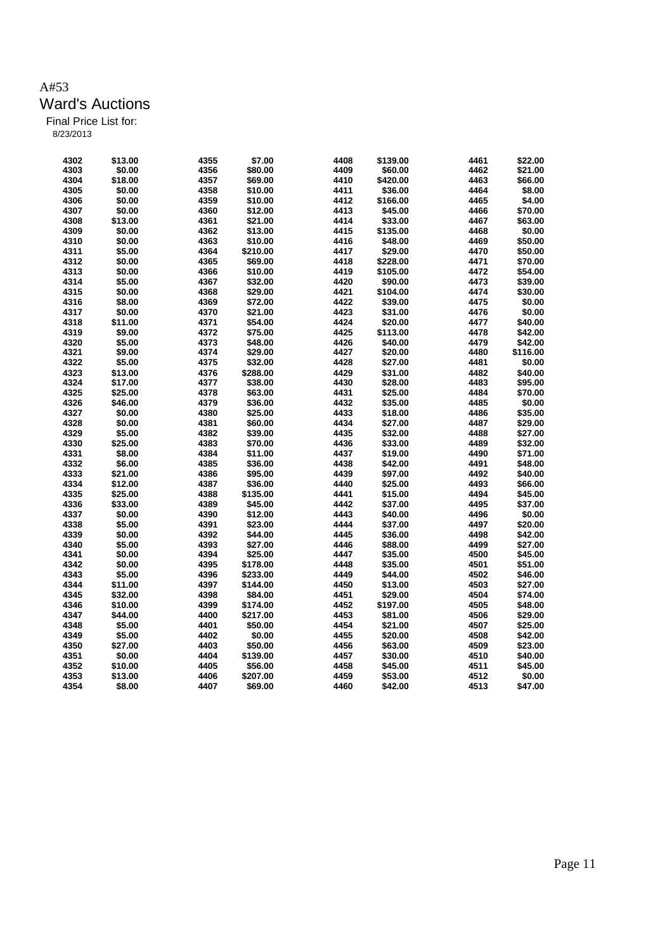| 4302 | \$13.00 | 4355 | \$7.00   | 4408 | \$139.00 | 4461 | \$22.00  |
|------|---------|------|----------|------|----------|------|----------|
| 4303 | \$0.00  | 4356 | \$80.00  | 4409 | \$60.00  | 4462 | \$21.00  |
| 4304 | \$18.00 | 4357 | \$69.00  | 4410 | \$420.00 | 4463 | \$66.00  |
| 4305 | \$0.00  | 4358 | \$10.00  | 4411 | \$36.00  | 4464 | \$8.00   |
| 4306 | \$0.00  | 4359 | \$10.00  | 4412 | \$166.00 | 4465 | \$4.00   |
| 4307 | \$0.00  | 4360 | \$12.00  | 4413 | \$45.00  | 4466 | \$70.00  |
| 4308 | \$13.00 | 4361 | \$21.00  | 4414 | \$33.00  | 4467 | \$63.00  |
| 4309 | \$0.00  | 4362 | \$13.00  | 4415 | \$135.00 | 4468 | \$0.00   |
| 4310 | \$0.00  | 4363 | \$10.00  | 4416 | \$48.00  | 4469 | \$50.00  |
| 4311 | \$5.00  | 4364 | \$210.00 | 4417 | \$29.00  | 4470 | \$50.00  |
| 4312 | \$0.00  | 4365 | \$69.00  | 4418 | \$228.00 | 4471 | \$70.00  |
| 4313 | \$0.00  | 4366 | \$10.00  | 4419 | \$105.00 | 4472 | \$54.00  |
| 4314 | \$5.00  | 4367 | \$32.00  | 4420 | \$90.00  | 4473 | \$39.00  |
| 4315 | \$0.00  | 4368 | \$29.00  | 4421 | \$104.00 | 4474 | \$30.00  |
| 4316 | \$8.00  | 4369 | \$72.00  | 4422 | \$39.00  | 4475 | \$0.00   |
| 4317 | \$0.00  | 4370 | \$21.00  | 4423 | \$31.00  | 4476 | \$0.00   |
| 4318 | \$11.00 | 4371 | \$54.00  | 4424 | \$20.00  | 4477 | \$40.00  |
| 4319 | \$9.00  | 4372 | \$75.00  | 4425 | \$113.00 | 4478 | \$42.00  |
| 4320 | \$5.00  | 4373 | \$48.00  | 4426 | \$40.00  | 4479 | \$42.00  |
| 4321 | \$9.00  | 4374 | \$29.00  | 4427 | \$20.00  | 4480 | \$116.00 |
| 4322 | \$5.00  | 4375 | \$32.00  | 4428 | \$27.00  | 4481 | \$0.00   |
| 4323 | \$13.00 | 4376 | \$288.00 | 4429 | \$31.00  | 4482 | \$40.00  |
| 4324 | \$17.00 | 4377 | \$38.00  | 4430 | \$28.00  | 4483 | \$95.00  |
|      |         |      |          |      |          |      |          |
| 4325 | \$25.00 | 4378 | \$63.00  | 4431 | \$25.00  | 4484 | \$70.00  |
| 4326 | \$46.00 | 4379 | \$36.00  | 4432 | \$35.00  | 4485 | \$0.00   |
| 4327 | \$0.00  | 4380 | \$25.00  | 4433 | \$18.00  | 4486 | \$35.00  |
| 4328 | \$0.00  | 4381 | \$60.00  | 4434 | \$27.00  | 4487 | \$29.00  |
| 4329 | \$5.00  | 4382 | \$39.00  | 4435 | \$32.00  | 4488 | \$27.00  |
| 4330 | \$25.00 | 4383 | \$70.00  | 4436 | \$33.00  | 4489 | \$32.00  |
| 4331 | \$8.00  | 4384 | \$11.00  | 4437 | \$19.00  | 4490 | \$71.00  |
| 4332 | \$6.00  | 4385 | \$36.00  | 4438 | \$42.00  | 4491 | \$48.00  |
| 4333 | \$21.00 | 4386 | \$95.00  | 4439 | \$97.00  | 4492 | \$40.00  |
| 4334 | \$12.00 | 4387 | \$36.00  | 4440 | \$25.00  | 4493 | \$66.00  |
| 4335 | \$25.00 | 4388 | \$135.00 | 4441 | \$15.00  | 4494 | \$45.00  |
| 4336 | \$33.00 | 4389 | \$45.00  | 4442 | \$37.00  | 4495 | \$37.00  |
| 4337 | \$0.00  | 4390 | \$12.00  | 4443 | \$40.00  | 4496 | \$0.00   |
| 4338 | \$5.00  | 4391 | \$23.00  | 4444 | \$37.00  | 4497 | \$20.00  |
| 4339 | \$0.00  | 4392 | \$44.00  | 4445 | \$36.00  | 4498 | \$42.00  |
| 4340 | \$5.00  | 4393 | \$27.00  | 4446 | \$88.00  | 4499 | \$27.00  |
| 4341 | \$0.00  | 4394 | \$25.00  | 4447 | \$35.00  | 4500 | \$45.00  |
| 4342 | \$0.00  | 4395 | \$178.00 | 4448 | \$35.00  | 4501 | \$51.00  |
| 4343 | \$5.00  | 4396 | \$233.00 | 4449 | \$44.00  | 4502 | \$46.00  |
| 4344 | \$11.00 | 4397 | \$144.00 | 4450 | \$13.00  | 4503 | \$27.00  |
| 4345 | \$32.00 | 4398 | \$84.00  | 4451 | \$29.00  | 4504 | \$74.00  |
| 4346 | \$10.00 | 4399 | \$174.00 | 4452 | \$197.00 | 4505 | \$48.00  |
| 4347 | \$44.00 | 4400 | \$217.00 | 4453 | \$81.00  | 4506 | \$29.00  |
| 4348 | \$5.00  | 4401 | \$50.00  | 4454 | \$21.00  | 4507 | \$25.00  |
| 4349 | \$5.00  | 4402 | \$0.00   | 4455 | \$20.00  | 4508 | \$42.00  |
| 4350 | \$27.00 | 4403 | \$50.00  | 4456 | \$63.00  | 4509 | \$23.00  |
| 4351 | \$0.00  | 4404 | \$139.00 | 4457 | \$30.00  | 4510 | \$40.00  |
| 4352 | \$10.00 | 4405 | \$56.00  | 4458 | \$45.00  | 4511 | \$45.00  |
| 4353 | \$13.00 | 4406 | \$207.00 | 4459 | \$53.00  | 4512 | \$0.00   |
| 4354 | \$8.00  | 4407 | \$69.00  | 4460 | \$42.00  | 4513 | \$47.00  |
|      |         |      |          |      |          |      |          |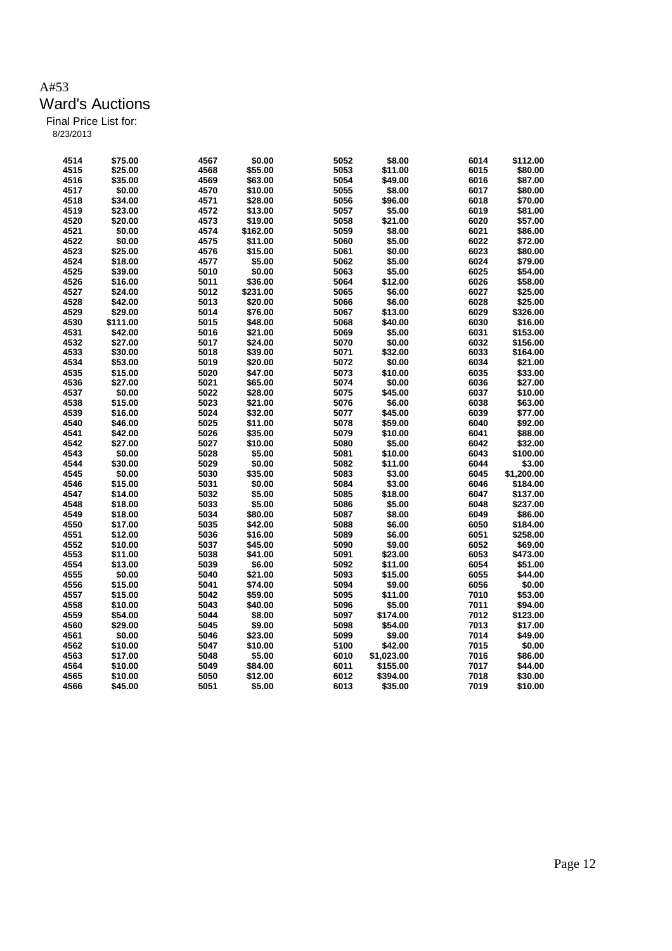| 4514 | \$75.00  | 4567 | \$0.00   | 5052 | \$8.00     | 6014 | \$112.00   |
|------|----------|------|----------|------|------------|------|------------|
| 4515 | \$25.00  | 4568 | \$55.00  | 5053 | \$11.00    | 6015 | \$80.00    |
| 4516 | \$35.00  | 4569 | \$63.00  | 5054 | \$49.00    | 6016 | \$87.00    |
| 4517 | \$0.00   | 4570 | \$10.00  | 5055 | \$8.00     | 6017 | \$80.00    |
| 4518 | \$34.00  | 4571 | \$28.00  | 5056 | \$96.00    | 6018 | \$70.00    |
| 4519 | \$23.00  | 4572 | \$13.00  | 5057 | \$5.00     | 6019 | \$81.00    |
| 4520 |          |      |          | 5058 | \$21.00    | 6020 | \$57.00    |
| 4521 | \$20.00  | 4573 | \$19.00  | 5059 | \$8.00     |      |            |
|      | \$0.00   | 4574 | \$162.00 |      |            | 6021 | \$86.00    |
| 4522 | \$0.00   | 4575 | \$11.00  | 5060 | \$5.00     | 6022 | \$72.00    |
| 4523 | \$25.00  | 4576 | \$15.00  | 5061 | \$0.00     | 6023 | \$80.00    |
| 4524 | \$18.00  | 4577 | \$5.00   | 5062 | \$5.00     | 6024 | \$79.00    |
| 4525 | \$39.00  | 5010 | \$0.00   | 5063 | \$5.00     | 6025 | \$54.00    |
| 4526 | \$16.00  | 5011 | \$36.00  | 5064 | \$12.00    | 6026 | \$58.00    |
| 4527 | \$24.00  | 5012 | \$231.00 | 5065 | \$6.00     | 6027 | \$25.00    |
| 4528 | \$42.00  | 5013 | \$20.00  | 5066 | \$6.00     | 6028 | \$25.00    |
| 4529 | \$29.00  | 5014 | \$76.00  | 5067 | \$13.00    | 6029 | \$326.00   |
| 4530 | \$111.00 | 5015 | \$48.00  | 5068 | \$40.00    | 6030 | \$16.00    |
| 4531 | \$42.00  | 5016 | \$21.00  | 5069 | \$5.00     | 6031 | \$153.00   |
| 4532 | \$27.00  | 5017 | \$24.00  | 5070 | \$0.00     | 6032 | \$156.00   |
| 4533 | \$30.00  | 5018 | \$39.00  | 5071 | \$32.00    | 6033 | \$164.00   |
| 4534 | \$53.00  | 5019 | \$20.00  | 5072 | \$0.00     | 6034 | \$21.00    |
| 4535 | \$15.00  | 5020 | \$47.00  | 5073 | \$10.00    | 6035 | \$33.00    |
| 4536 | \$27.00  | 5021 | \$65.00  | 5074 | \$0.00     | 6036 | \$27.00    |
| 4537 | \$0.00   | 5022 | \$28.00  | 5075 | \$45.00    | 6037 | \$10.00    |
| 4538 | \$15.00  | 5023 | \$21.00  | 5076 | \$6.00     | 6038 | \$63.00    |
| 4539 | \$16.00  | 5024 | \$32.00  | 5077 | \$45.00    | 6039 | \$77.00    |
| 4540 | \$46.00  | 5025 | \$11.00  | 5078 | \$59.00    | 6040 | \$92.00    |
| 4541 | \$42.00  | 5026 | \$35.00  | 5079 | \$10.00    | 6041 | \$88.00    |
| 4542 | \$27.00  | 5027 | \$10.00  | 5080 | \$5.00     | 6042 | \$32.00    |
| 4543 | \$0.00   | 5028 | \$5.00   | 5081 | \$10.00    | 6043 | \$100.00   |
| 4544 | \$30.00  | 5029 | \$0.00   | 5082 | \$11.00    | 6044 | \$3.00     |
| 4545 | \$0.00   | 5030 | \$35.00  | 5083 | \$3.00     | 6045 | \$1,200.00 |
|      |          |      |          |      |            |      |            |
| 4546 | \$15.00  | 5031 | \$0.00   | 5084 | \$3.00     | 6046 | \$184.00   |
| 4547 | \$14.00  | 5032 | \$5.00   | 5085 | \$18.00    | 6047 | \$137.00   |
| 4548 | \$18.00  | 5033 | \$5.00   | 5086 | \$5.00     | 6048 | \$237.00   |
| 4549 | \$18.00  | 5034 | \$80.00  | 5087 | \$8.00     | 6049 | \$86.00    |
| 4550 | \$17.00  | 5035 | \$42.00  | 5088 | \$6.00     | 6050 | \$184.00   |
| 4551 | \$12.00  | 5036 | \$16.00  | 5089 | \$6.00     | 6051 | \$258.00   |
| 4552 | \$10.00  | 5037 | \$45.00  | 5090 | \$9.00     | 6052 | \$69.00    |
| 4553 | \$11.00  | 5038 | \$41.00  | 5091 | \$23.00    | 6053 | \$473.00   |
| 4554 | \$13.00  | 5039 | \$6.00   | 5092 | \$11.00    | 6054 | \$51.00    |
| 4555 | \$0.00   | 5040 | \$21.00  | 5093 | \$15.00    | 6055 | \$44.00    |
| 4556 | \$15.00  | 5041 | \$74.00  | 5094 | \$9.00     | 6056 | \$0.00     |
| 4557 | \$15.00  | 5042 | \$59.00  | 5095 | \$11.00    | 7010 | \$53.00    |
| 4558 | \$10.00  | 5043 | \$40.00  | 5096 | \$5.00     | 7011 | \$94.00    |
| 4559 | \$54.00  | 5044 | \$8.00   | 5097 | \$174.00   | 7012 | \$123.00   |
| 4560 | \$29.00  | 5045 | \$9.00   | 5098 | \$54.00    | 7013 | \$17.00    |
| 4561 | \$0.00   | 5046 | \$23.00  | 5099 | \$9.00     | 7014 | \$49.00    |
| 4562 | \$10.00  | 5047 | \$10.00  | 5100 | \$42.00    | 7015 | \$0.00     |
| 4563 | \$17.00  | 5048 | \$5.00   | 6010 | \$1,023.00 | 7016 | \$86.00    |
| 4564 | \$10.00  | 5049 | \$84.00  | 6011 | \$155.00   | 7017 | \$44.00    |
| 4565 | \$10.00  | 5050 | \$12.00  | 6012 | \$394.00   | 7018 | \$30.00    |
| 4566 | \$45.00  | 5051 | \$5.00   | 6013 | \$35.00    | 7019 | \$10.00    |
|      |          |      |          |      |            |      |            |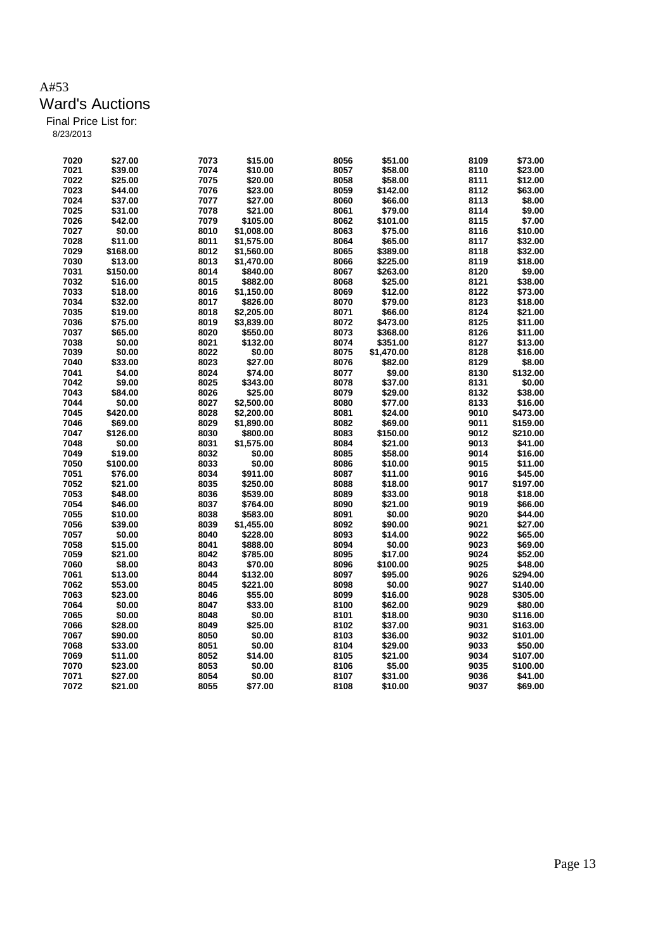| 7020 | \$27.00            | 7073         | \$15.00    | 8056 | \$51.00    | 8109         | \$73.00            |
|------|--------------------|--------------|------------|------|------------|--------------|--------------------|
| 7021 | \$39.00            | 7074         | \$10.00    | 8057 | \$58.00    | 8110         | \$23.00            |
| 7022 | \$25.00            | 7075         | \$20.00    | 8058 | \$58.00    | 8111         | \$12.00            |
| 7023 | \$44.00            | 7076         | \$23.00    | 8059 | \$142.00   | 8112         | \$63.00            |
| 7024 | \$37.00            | 7077         | \$27.00    | 8060 | \$66.00    | 8113         | \$8.00             |
| 7025 | \$31.00            | 7078         | \$21.00    | 8061 | \$79.00    | 8114         | \$9.00             |
| 7026 | \$42.00            | 7079         | \$105.00   | 8062 | \$101.00   | 8115         | \$7.00             |
| 7027 | \$0.00             | 8010         | \$1,008.00 | 8063 | \$75.00    | 8116         | \$10.00            |
| 7028 | \$11.00            | 8011         | \$1,575.00 | 8064 | \$65.00    | 8117         | \$32.00            |
| 7029 | \$168.00           | 8012         | \$1,560.00 | 8065 | \$389.00   | 8118         | \$32.00            |
| 7030 | \$13.00            | 8013         | \$1,470.00 | 8066 | \$225.00   | 8119         | \$18.00            |
| 7031 | \$150.00           | 8014         | \$840.00   | 8067 | \$263.00   | 8120         | \$9.00             |
| 7032 | \$16.00            | 8015         | \$882.00   | 8068 | \$25.00    | 8121         | \$38.00            |
| 7033 | \$18.00            | 8016         | \$1,150.00 | 8069 | \$12.00    | 8122         | \$73.00            |
| 7034 | \$32.00            | 8017         | \$826.00   | 8070 | \$79.00    | 8123         | \$18.00            |
| 7035 | \$19.00            | 8018         | \$2,205.00 | 8071 | \$66.00    | 8124         | \$21.00            |
| 7036 | \$75.00            | 8019         | \$3,839.00 | 8072 | \$473.00   | 8125         | \$11.00            |
| 7037 | \$65.00            | 8020         | \$550.00   | 8073 | \$368.00   | 8126         | \$11.00            |
| 7038 | \$0.00             | 8021         | \$132.00   | 8074 | \$351.00   | 8127         | \$13.00            |
| 7039 | \$0.00             | 8022         | \$0.00     | 8075 | \$1,470.00 | 8128         | \$16.00            |
| 7040 | \$33.00            | 8023         | \$27.00    | 8076 | \$82.00    | 8129         | \$8.00             |
| 7041 | \$4.00             | 8024         | \$74.00    | 8077 | \$9.00     | 8130         | \$132.00           |
| 7042 | \$9.00             | 8025         | \$343.00   | 8078 | \$37.00    | 8131         | \$0.00             |
| 7043 | \$84.00            | 8026         | \$25.00    | 8079 | \$29.00    | 8132         | \$38.00            |
| 7044 | \$0.00             | 8027         | \$2,500.00 | 8080 | \$77.00    | 8133         | \$16.00            |
| 7045 | \$420.00           | 8028         | \$2,200.00 | 8081 | \$24.00    | 9010         | \$473.00           |
| 7046 | \$69.00            | 8029         | \$1,890.00 | 8082 | \$69.00    | 9011         | \$159.00           |
| 7047 | \$126.00           | 8030         | \$800.00   | 8083 | \$150.00   | 9012         | \$210.00           |
| 7048 | \$0.00             | 8031         | \$1,575.00 | 8084 | \$21.00    | 9013         | \$41.00            |
| 7049 | \$19.00            | 8032         | \$0.00     | 8085 | \$58.00    | 9014         | \$16.00            |
| 7050 | \$100.00           | 8033         | \$0.00     | 8086 | \$10.00    | 9015         | \$11.00            |
| 7051 | \$76.00            | 8034         | \$911.00   | 8087 | \$11.00    | 9016         | \$45.00            |
| 7052 | \$21.00            | 8035         | \$250.00   | 8088 | \$18.00    | 9017         | \$197.00           |
| 7053 | \$48.00            | 8036         | \$539.00   | 8089 | \$33.00    | 9018         | \$18.00            |
| 7054 | \$46.00            | 8037         | \$764.00   | 8090 | \$21.00    | 9019         | \$66.00            |
| 7055 |                    |              |            | 8091 |            |              |                    |
|      | \$10.00<br>\$39.00 | 8038<br>8039 | \$583.00   | 8092 | \$0.00     | 9020         | \$44.00<br>\$27.00 |
| 7056 |                    |              | \$1,455.00 | 8093 | \$90.00    | 9021<br>9022 |                    |
| 7057 | \$0.00             | 8040         | \$228.00   |      | \$14.00    |              | \$65.00            |
| 7058 | \$15.00            | 8041         | \$888.00   | 8094 | \$0.00     | 9023         | \$69.00            |
| 7059 | \$21.00            | 8042         | \$785.00   | 8095 | \$17.00    | 9024         | \$52.00            |
| 7060 | \$8.00             | 8043         | \$70.00    | 8096 | \$100.00   | 9025         | \$48.00            |
| 7061 | \$13.00            | 8044         | \$132.00   | 8097 | \$95.00    | 9026         | \$294.00           |
| 7062 | \$53.00            | 8045         | \$221.00   | 8098 | \$0.00     | 9027         | \$140.00           |
| 7063 | \$23.00            | 8046         | \$55.00    | 8099 | \$16.00    | 9028         | \$305.00           |
| 7064 | \$0.00             | 8047         | \$33.00    | 8100 | \$62.00    | 9029         | \$80.00            |
| 7065 | \$0.00             | 8048         | \$0.00     | 8101 | \$18.00    | 9030         | \$116.00           |
| 7066 | \$28.00            | 8049         | \$25.00    | 8102 | \$37.00    | 9031         | \$163.00           |
| 7067 | \$90.00            | 8050         | \$0.00     | 8103 | \$36.00    | 9032         | \$101.00           |
| 7068 | \$33.00            | 8051         | \$0.00     | 8104 | \$29.00    | 9033         | \$50.00            |
| 7069 | \$11.00            | 8052         | \$14.00    | 8105 | \$21.00    | 9034         | \$107.00           |
| 7070 | \$23.00            | 8053         | \$0.00     | 8106 | \$5.00     | 9035         | \$100.00           |
| 7071 | \$27.00            | 8054         | \$0.00     | 8107 | \$31.00    | 9036         | \$41.00            |
| 7072 | \$21.00            | 8055         | \$77.00    | 8108 | \$10.00    | 9037         | \$69.00            |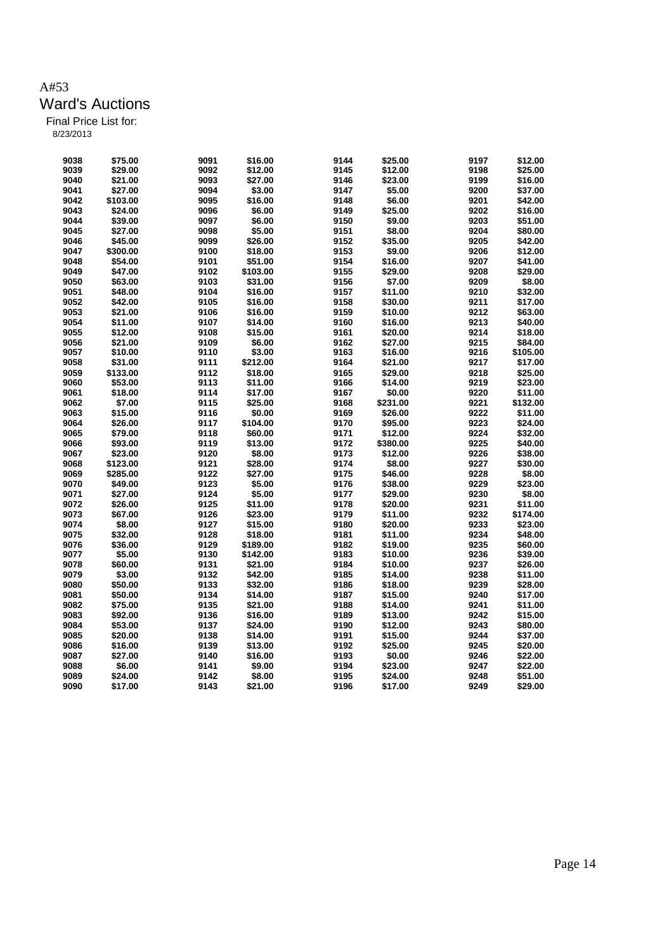| 9038 | \$75.00  | 9091 | \$16.00  | 9144 | \$25.00  | 9197 | \$12.00  |
|------|----------|------|----------|------|----------|------|----------|
| 9039 | \$29.00  | 9092 | \$12.00  | 9145 | \$12.00  | 9198 | \$25.00  |
| 9040 | \$21.00  | 9093 | \$27.00  | 9146 | \$23.00  | 9199 | \$16.00  |
| 9041 | \$27.00  | 9094 | \$3.00   | 9147 | \$5.00   | 9200 | \$37.00  |
| 9042 | \$103.00 | 9095 | \$16.00  | 9148 | \$6.00   | 9201 | \$42.00  |
| 9043 | \$24.00  | 9096 | \$6.00   | 9149 | \$25.00  | 9202 | \$16.00  |
| 9044 | \$39.00  | 9097 | \$6.00   | 9150 | \$9.00   | 9203 | \$51.00  |
| 9045 | \$27.00  | 9098 | \$5.00   | 9151 | \$8.00   | 9204 | \$80.00  |
| 9046 | \$45.00  | 9099 | \$26.00  | 9152 | \$35.00  | 9205 | \$42.00  |
| 9047 | \$300.00 | 9100 | \$18.00  | 9153 | \$9.00   | 9206 | \$12.00  |
| 9048 | \$54.00  | 9101 | \$51.00  | 9154 | \$16.00  | 9207 | \$41.00  |
| 9049 | \$47.00  | 9102 | \$103.00 | 9155 | \$29.00  | 9208 | \$29.00  |
| 9050 | \$63.00  | 9103 | \$31.00  | 9156 | \$7.00   | 9209 | \$8.00   |
| 9051 | \$48.00  | 9104 | \$16.00  | 9157 | \$11.00  | 9210 | \$32.00  |
| 9052 | \$42.00  | 9105 | \$16.00  | 9158 | \$30.00  | 9211 | \$17.00  |
| 9053 | \$21.00  | 9106 | \$16.00  | 9159 | \$10.00  | 9212 | \$63.00  |
| 9054 | \$11.00  | 9107 | \$14.00  | 9160 | \$16.00  | 9213 | \$40.00  |
| 9055 | \$12.00  | 9108 | \$15.00  | 9161 | \$20.00  | 9214 | \$18.00  |
| 9056 | \$21.00  | 9109 | \$6.00   | 9162 | \$27.00  | 9215 | \$84.00  |
| 9057 | \$10.00  | 9110 | \$3.00   | 9163 | \$16.00  | 9216 | \$105.00 |
| 9058 |          | 9111 | \$212.00 | 9164 |          | 9217 | \$17.00  |
|      | \$31.00  |      |          | 9165 | \$21.00  |      | \$25.00  |
| 9059 | \$133.00 | 9112 | \$18.00  |      | \$29.00  | 9218 |          |
| 9060 | \$53.00  | 9113 | \$11.00  | 9166 | \$14.00  | 9219 | \$23.00  |
| 9061 | \$18.00  | 9114 | \$17.00  | 9167 | \$0.00   | 9220 | \$11.00  |
| 9062 | \$7.00   | 9115 | \$25.00  | 9168 | \$231.00 | 9221 | \$132.00 |
| 9063 | \$15.00  | 9116 | \$0.00   | 9169 | \$26.00  | 9222 | \$11.00  |
| 9064 | \$26.00  | 9117 | \$104.00 | 9170 | \$95.00  | 9223 | \$24.00  |
| 9065 | \$79.00  | 9118 | \$60.00  | 9171 | \$12.00  | 9224 | \$32.00  |
| 9066 | \$93.00  | 9119 | \$13.00  | 9172 | \$380.00 | 9225 | \$40.00  |
| 9067 | \$23.00  | 9120 | \$8.00   | 9173 | \$12.00  | 9226 | \$38.00  |
| 9068 | \$123.00 | 9121 | \$28.00  | 9174 | \$8.00   | 9227 | \$30.00  |
| 9069 | \$285.00 | 9122 | \$27.00  | 9175 | \$46.00  | 9228 | \$8.00   |
| 9070 | \$49.00  | 9123 | \$5.00   | 9176 | \$38.00  | 9229 | \$23.00  |
| 9071 | \$27.00  | 9124 | \$5.00   | 9177 | \$29.00  | 9230 | \$8.00   |
| 9072 | \$26.00  | 9125 | \$11.00  | 9178 | \$20.00  | 9231 | \$11.00  |
| 9073 | \$67.00  | 9126 | \$23.00  | 9179 | \$11.00  | 9232 | \$174.00 |
| 9074 | \$8.00   | 9127 | \$15.00  | 9180 | \$20.00  | 9233 | \$23.00  |
| 9075 | \$32.00  | 9128 | \$18.00  | 9181 | \$11.00  | 9234 | \$48.00  |
| 9076 | \$36.00  | 9129 | \$189.00 | 9182 | \$19.00  | 9235 | \$60.00  |
| 9077 | \$5.00   | 9130 | \$142.00 | 9183 | \$10.00  | 9236 | \$39.00  |
| 9078 | \$60.00  | 9131 | \$21.00  | 9184 | \$10.00  | 9237 | \$26.00  |
| 9079 | \$3.00   | 9132 | \$42.00  | 9185 | \$14.00  | 9238 | \$11.00  |
| 9080 | \$50.00  | 9133 | \$32.00  | 9186 | \$18.00  | 9239 | \$28.00  |
| 9081 | \$50.00  | 9134 | \$14.00  | 9187 | \$15.00  | 9240 | \$17.00  |
| 9082 | \$75.00  | 9135 | \$21.00  | 9188 | \$14.00  | 9241 | \$11.00  |
| 9083 | \$92.00  | 9136 | \$16.00  | 9189 | \$13.00  | 9242 | \$15.00  |
| 9084 | \$53.00  | 9137 | \$24.00  | 9190 | \$12.00  | 9243 | \$80.00  |
| 9085 | \$20.00  | 9138 | \$14.00  | 9191 | \$15.00  | 9244 | \$37.00  |
| 9086 | \$16.00  | 9139 | \$13.00  | 9192 | \$25.00  | 9245 | \$20.00  |
| 9087 | \$27.00  | 9140 | \$16.00  | 9193 | \$0.00   | 9246 | \$22.00  |
| 9088 | \$6.00   | 9141 | \$9.00   | 9194 | \$23.00  | 9247 | \$22.00  |
| 9089 | \$24.00  | 9142 | \$8.00   | 9195 | \$24.00  | 9248 | \$51.00  |
| 9090 | \$17.00  | 9143 | \$21.00  | 9196 | \$17.00  | 9249 | \$29.00  |
|      |          |      |          |      |          |      |          |